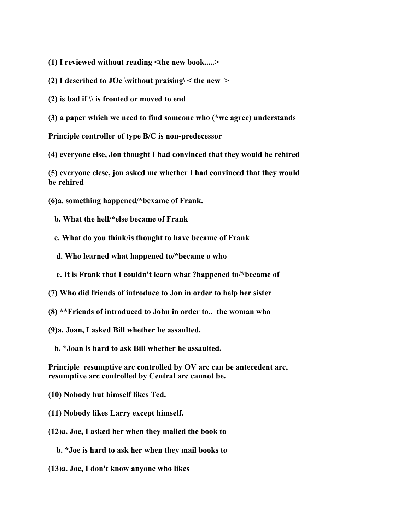**(1) I reviewed without reading <the new book.....>**

**(2) I described to JOe \without praising\ < the new >**

**(2) is bad if \\ is fronted or moved to end**

**(3) a paper which we need to find someone who (\*we agree) understands**

**Principle controller of type B/C is non-predecessor**

**(4) everyone else, Jon thought I had convinced that they would be rehired**

**(5) everyone elese, jon asked me whether I had convinced that they would be rehired**

**(6)a. something happened/\*bexame of Frank.**

 **b. What the hell/\*else became of Frank**

 **c. What do you think/is thought to have became of Frank**

 **d. Who learned what happened to/\*became o who**

 **e. It is Frank that I couldn't learn what ?happened to/\*became of**

**(7) Who did friends of introduce to Jon in order to help her sister**

**(8) \*\*Friends of introduced to John in order to.. the woman who**

**(9)a. Joan, I asked Bill whether he assaulted.**

 **b. \*Joan is hard to ask Bill whether he assaulted.**

**Principle resumptive arc controlled by OV arc can be antecedent arc, resumptive arc controlled by Central arc cannot be.**

**(10) Nobody but himself likes Ted.**

**(11) Nobody likes Larry except himself.**

**(12)a. Joe, I asked her when they mailed the book to**

 **b. \*Joe is hard to ask her when they mail books to**

**(13)a. Joe, I don't know anyone who likes**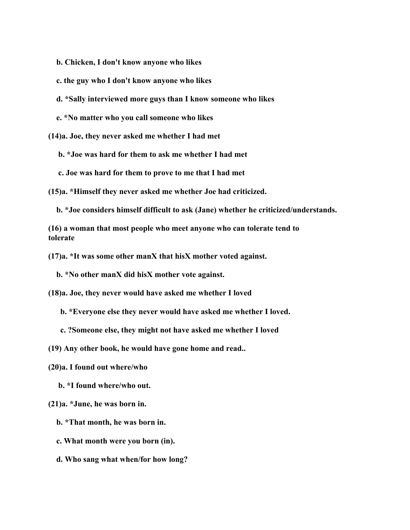- **b. Chicken, I don't know anyone who likes**
- **c. the guy who I don't know anyone who likes**
- **d. \*Sally interviewed more guys than I know someone who likes**
- **e. \*No matter who you call someone who likes**

**(14)a. Joe, they never asked me whether I had met**

 **b. \*Joe was hard for them to ask me whether I had met**

 **c. Joe was hard for them to prove to me that I had met**

**(15)a. \*Himself they never asked me whether Joe had criticized.**

 **b. \*Joe considers himself difficult to ask (Jane) whether he criticized/understands.**

**(16) a woman that most people who meet anyone who can tolerate tend to tolerate**

**(17)a. \*It was some other manX that hisX mother voted against.**

 **b. \*No other manX did hisX mother vote against.**

**(18)a. Joe, they never would have asked me whether I loved**

 **b. \*Everyone else they never would have asked me whether I loved.**

 **c. ?Someone else, they might not have asked me whether I loved**

**(19) Any other book, he would have gone home and read..**

**(20)a. I found out where/who**

 **b. \*I found where/who out.**

**(21)a. \*June, he was born in.**

 **b. \*That month, he was born in.**

 **c. What month were you born (in).**

 **d. Who sang what when/for how long?**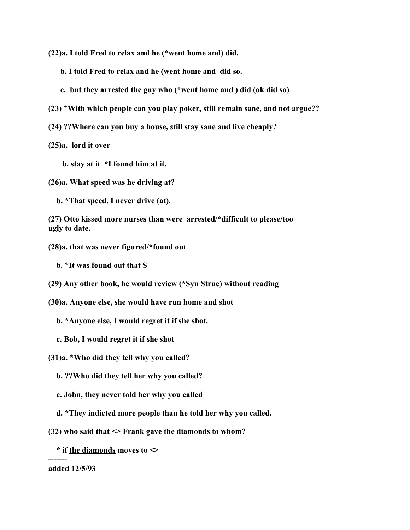**(22)a. I told Fred to relax and he (\*went home and) did.**

- **b. I told Fred to relax and he (went home and did so.**
- **c. but they arrested the guy who (\*went home and ) did (ok did so)**
- **(23) \*With which people can you play poker, still remain sane, and not argue??**
- **(24) ??Where can you buy a house, still stay sane and live cheaply?**

**(25)a. lord it over**

- **b. stay at it \*I found him at it.**
- **(26)a. What speed was he driving at?**

 **b. \*That speed, I never drive (at).**

**(27) Otto kissed more nurses than were arrested/\*difficult to please/too ugly to date.**

**(28)a. that was never figured/\*found out**

 **b. \*It was found out that S**

**(29) Any other book, he would review (\*Syn Struc) without reading**

**(30)a. Anyone else, she would have run home and shot**

 **b. \*Anyone else, I would regret it if she shot.**

 **c. Bob, I would regret it if she shot**

**(31)a. \*Who did they tell why you called?**

 **b. ??Who did they tell her why you called?**

 **c. John, they never told her why you called**

- **d. \*They indicted more people than he told her why you called.**
- $(32)$  who said that  $\leq$  Frank gave the diamonds to whom?
	- **\* if the diamonds moves to <>**

#### **------ added 12/5/93**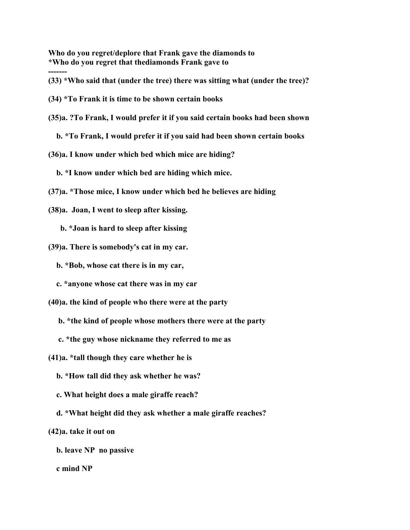**Who do you regret/deplore that Frank gave the diamonds to \*Who do you regret that thediamonds Frank gave to**

**(33) \*Who said that (under the tree) there was sitting what (under the tree)?**

**(34) \*To Frank it is time to be shown certain books**

**-------**

**(35)a. ?To Frank, I would prefer it if you said certain books had been shown**

 **b. \*To Frank, I would prefer it if you said had been shown certain books**

**(36)a. I know under which bed which mice are hiding?**

 **b. \*I know under which bed are hiding which mice.**

- **(37)a. \*Those mice, I know under which bed he believes are hiding**
- **(38)a. Joan, I went to sleep after kissing.**

 **b. \*Joan is hard to sleep after kissing**

**(39)a. There is somebody's cat in my car.**

 **b. \*Bob, whose cat there is in my car,**

 **c. \*anyone whose cat there was in my car**

**(40)a. the kind of people who there were at the party**

 **b. \*the kind of people whose mothers there were at the party**

 **c. \*the guy whose nickname they referred to me as**

**(41)a. \*tall though they care whether he is**

 **b. \*How tall did they ask whether he was?**

 **c. What height does a male giraffe reach?**

 **d. \*What height did they ask whether a male giraffe reaches?**

**(42)a. take it out on**

 **b. leave NP no passive**

 **c mind NP**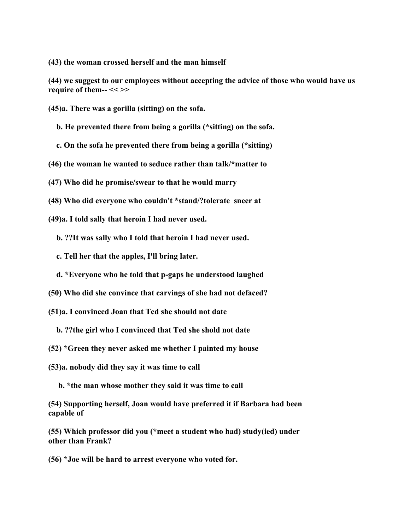**(43) the woman crossed herself and the man himself**

**(44) we suggest to our employees without accepting the advice of those who would have us require of them-- << >>**

- **(45)a. There was a gorilla (sitting) on the sofa.**
	- **b. He prevented there from being a gorilla (\*sitting) on the sofa.**
	- **c. On the sofa he prevented there from being a gorilla (\*sitting)**
- **(46) the woman he wanted to seduce rather than talk/\*matter to**
- **(47) Who did he promise/swear to that he would marry**
- **(48) Who did everyone who couldn't \*stand/?tolerate sneer at**
- **(49)a. I told sally that heroin I had never used.**
	- **b. ??It was sally who I told that heroin I had never used.**
	- **c. Tell her that the apples, I'll bring later.**
	- **d. \*Everyone who he told that p-gaps he understood laughed**
- **(50) Who did she convince that carvings of she had not defaced?**
- **(51)a. I convinced Joan that Ted she should not date**
	- **b. ??the girl who I convinced that Ted she shold not date**
- **(52) \*Green they never asked me whether I painted my house**
- **(53)a. nobody did they say it was time to call**
	- **b. \*the man whose mother they said it was time to call**
- **(54) Supporting herself, Joan would have preferred it if Barbara had been capable of**
- **(55) Which professor did you (\*meet a student who had) study(ied) under other than Frank?**
- **(56) \*Joe will be hard to arrest everyone who voted for.**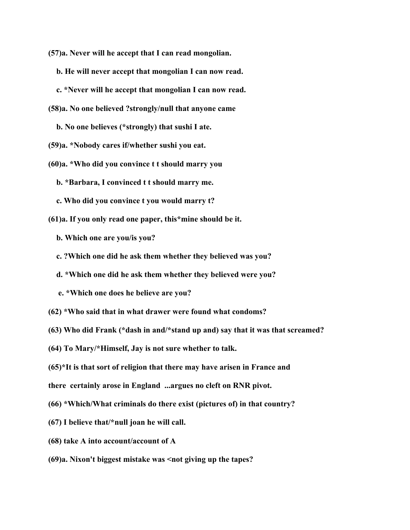**(57)a. Never will he accept that I can read mongolian.**

 **b. He will never accept that mongolian I can now read.**

- **c. \*Never will he accept that mongolian I can now read.**
- **(58)a. No one believed ?strongly/null that anyone came**

 **b. No one believes (\*strongly) that sushi I ate.**

**(59)a. \*Nobody cares if/whether sushi you eat.**

- **(60)a. \*Who did you convince t t should marry you**
	- **b. \*Barbara, I convinced t t should marry me.**
	- **c. Who did you convince t you would marry t?**

**(61)a. If you only read one paper, this\*mine should be it.**

 **b. Which one are you/is you?**

- **c. ?Which one did he ask them whether they believed was you?**
- **d. \*Which one did he ask them whether they believed were you?**
- **e. \*Which one does he believe are you?**
- **(62) \*Who said that in what drawer were found what condoms?**
- **(63) Who did Frank (\*dash in and/\*stand up and) say that it was that screamed?**
- **(64) To Mary/\*Himself, Jay is not sure whether to talk.**

**(65)\*It is that sort of religion that there may have arisen in France and**

**there certainly arose in England ...argues no cleft on RNR pivot.**

- **(66) \*Which/What criminals do there exist (pictures of) in that country?**
- **(67) I believe that/\*null joan he will call.**
- **(68) take A into account/account of A**
- **(69)a. Nixon't biggest mistake was <not giving up the tapes?**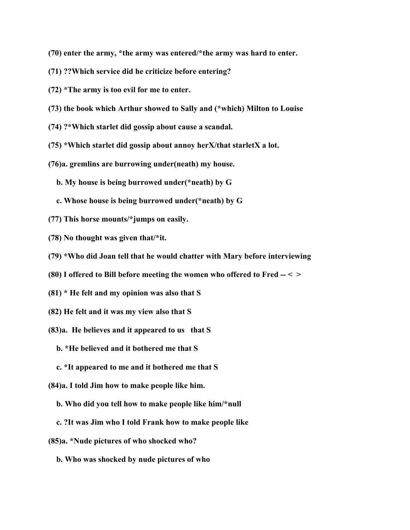- **(70) enter the army, \*the army was entered/\*the army was hard to enter.**
- **(71) ??Which service did he criticize before entering?**
- **(72) \*The army is too evil for me to enter.**
- **(73) the book which Arthur showed to Sally and (\*which) Milton to Louise**
- **(74) ?\*Which starlet did gossip about cause a scandal.**
- **(75) \*Which starlet did gossip about annoy herX/that starletX a lot.**
- **(76)a. gremlins are burrowing under(neath) my house.**
	- **b. My house is being burrowed under(\*neath) by G**
	- **c. Whose house is being burrowed under(\*neath) by G**
- **(77) This horse mounts/\*jumps on easily.**
- **(78) No thought was given that/\*it.**
- **(79) \*Who did Joan tell that he would chatter with Mary before interviewing**
- **(80) I offered to Bill before meeting the women who offered to Fred -- < >**
- **(81) \* He felt and my opinion was also that S**
- **(82) He felt and it was my view also that S**
- **(83)a. He believes and it appeared to us that S**
	- **b. \*He believed and it bothered me that S**
	- **c. \*It appeared to me and it bothered me that S**
- **(84)a. I told Jim how to make people like him.**
	- **b. Who did you tell how to make people like him/\*null**
	- **c. ?It was Jim who I told Frank how to make people like**
- **(85)a. \*Nude pictures of who shocked who?**
	- **b. Who was shocked by nude pictures of who**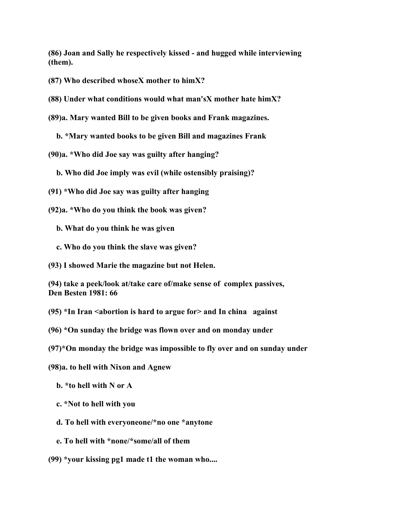**(86) Joan and Sally he respectively kissed - and hugged while interviewing (them).**

**(87) Who described whoseX mother to himX?**

**(88) Under what conditions would what man'sX mother hate himX?**

**(89)a. Mary wanted Bill to be given books and Frank magazines.**

 **b. \*Mary wanted books to be given Bill and magazines Frank**

**(90)a. \*Who did Joe say was guilty after hanging?**

 **b. Who did Joe imply was evil (while ostensibly praising)?**

- **(91) \*Who did Joe say was guilty after hanging**
- **(92)a. \*Who do you think the book was given?**
	- **b. What do you think he was given**
	- **c. Who do you think the slave was given?**

**(93) I showed Marie the magazine but not Helen.**

**(94) take a peek/look at/take care of/make sense of complex passives, Den Besten 1981: 66**

**(95) \*In Iran <abortion is hard to argue for> and In china against**

**(96) \*On sunday the bridge was flown over and on monday under**

**(97)\*On monday the bridge was impossible to fly over and on sunday under**

**(98)a. to hell with Nixon and Agnew**

 **b. \*to hell with N or A**

 **c. \*Not to hell with you**

 **d. To hell with everyoneone/\*no one \*anytone**

 **e. To hell with \*none/\*some/all of them**

**(99) \*your kissing pg1 made t1 the woman who....**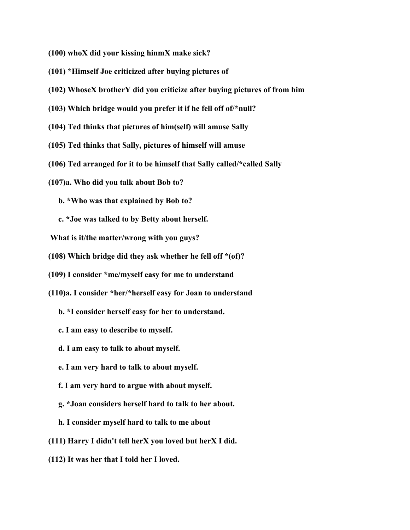**(100) whoX did your kissing hinmX make sick?**

- **(101) \*Himself Joe criticized after buying pictures of**
- **(102) WhoseX brotherY did you criticize after buying pictures of from him**
- **(103) Which bridge would you prefer it if he fell off of/\*null?**
- **(104) Ted thinks that pictures of him(self) will amuse Sally**
- **(105) Ted thinks that Sally, pictures of himself will amuse**
- **(106) Ted arranged for it to be himself that Sally called/\*called Sally**
- **(107)a. Who did you talk about Bob to?**
	- **b. \*Who was that explained by Bob to?**
	- **c. \*Joe was talked to by Betty about herself.**
- **What is it/the matter/wrong with you guys?**
- **(108) Which bridge did they ask whether he fell off \*(of)?**
- **(109) I consider \*me/myself easy for me to understand**
- **(110)a. I consider \*her/\*herself easy for Joan to understand**
	- **b. \*I consider herself easy for her to understand.**
	- **c. I am easy to describe to myself.**
	- **d. I am easy to talk to about myself.**
	- **e. I am very hard to talk to about myself.**
	- **f. I am very hard to argue with about myself.**
	- **g. \*Joan considers herself hard to talk to her about.**
	- **h. I consider myself hard to talk to me about**
- **(111) Harry I didn't tell herX you loved but herX I did.**
- **(112) It was her that I told her I loved.**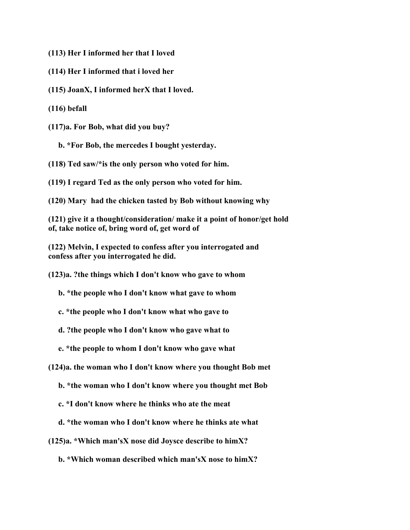**(113) Her I informed her that I loved**

- **(114) Her I informed that i loved her**
- **(115) JoanX, I informed herX that I loved.**
- **(116) befall**

**(117)a. For Bob, what did you buy?**

 **b. \*For Bob, the mercedes I bought yesterday.**

**(118) Ted saw/\*is the only person who voted for him.**

**(119) I regard Ted as the only person who voted for him.**

**(120) Mary had the chicken tasted by Bob without knowing why**

**(121) give it a thought/consideration/ make it a point of honor/get hold of, take notice of, bring word of, get word of**

**(122) Melvin, I expected to confess after you interrogated and confess after you interrogated he did.**

**(123)a. ?the things which I don't know who gave to whom**

 **b. \*the people who I don't know what gave to whom**

 **c. \*the people who I don't know what who gave to**

 **d. ?the people who I don't know who gave what to**

 **e. \*the people to whom I don't know who gave what**

**(124)a. the woman who I don't know where you thought Bob met**

 **b. \*the woman who I don't know where you thought met Bob**

 **c. \*I don't know where he thinks who ate the meat**

 **d. \*the woman who I don't know where he thinks ate what**

**(125)a. \*Which man'sX nose did Joysce describe to himX?**

 **b. \*Which woman described which man'sX nose to himX?**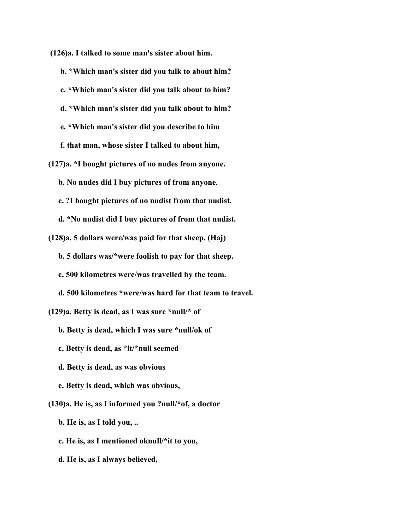**(126)a. I talked to some man's sister about him.**

 **b. \*Which man's sister did you talk to about him? c. \*Which man's sister did you talk about to him? d. \*Which man's sister did you talk about to him? e. \*Which man's sister did you describe to him f. that man, whose sister I talked to about him, (127)a. \*I bought pictures of no nudes from anyone. b. No nudes did I buy pictures of from anyone. c. ?I bought pictures of no nudist from that nudist. d. \*No nudist did I buy pictures of from that nudist.**

**(128)a. 5 dollars were/was paid for that sheep. (Haj)**

 **b. 5 dollars was/\*were foolish to pay for that sheep.**

 **c. 500 kilometres were/was travelled by the team.**

 **d. 500 kilometres \*were/was hard for that team to travel.**

**(129)a. Betty is dead, as I was sure \*null/\* of**

 **b. Betty is dead, which I was sure \*null/ok of**

 **c. Betty is dead, as \*it/\*null seemed**

 **d. Betty is dead, as was obvious**

 **e. Betty is dead, which was obvious,**

**(130)a. He is, as I informed you ?null/\*of, a doctor**

 **b. He is, as I told you, ..**

 **c. He is, as I mentioned oknull/\*it to you,**

 **d. He is, as I always believed,**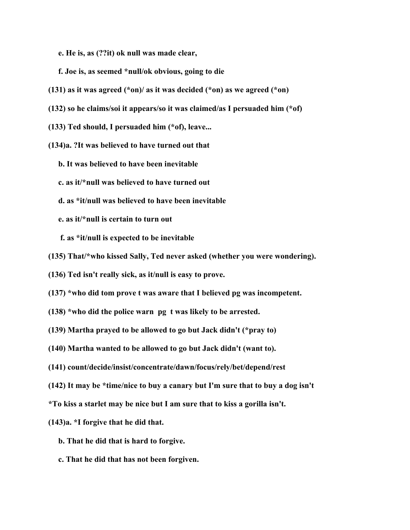**e. He is, as (??it) ok null was made clear,**

- **f. Joe is, as seemed \*null/ok obvious, going to die**
- **(131) as it was agreed (\*on)/ as it was decided (\*on) as we agreed (\*on)**
- **(132) so he claims/soi it appears/so it was claimed/as I persuaded him (\*of)**
- **(133) Ted should, I persuaded him (\*of), leave...**
- **(134)a. ?It was believed to have turned out that**
	- **b. It was believed to have been inevitable**
	- **c. as it/\*null was believed to have turned out**
	- **d. as \*it/null was believed to have been inevitable**
	- **e. as it/\*null is certain to turn out**
	- **f. as \*it/null is expected to be inevitable**
- **(135) That/\*who kissed Sally, Ted never asked (whether you were wondering).**
- **(136) Ted isn't really sick, as it/null is easy to prove.**
- **(137) \*who did tom prove t was aware that I believed pg was incompetent.**
- **(138) \*who did the police warn pg t was likely to be arrested.**
- **(139) Martha prayed to be allowed to go but Jack didn't (\*pray to)**
- **(140) Martha wanted to be allowed to go but Jack didn't (want to).**
- **(141) count/decide/insist/concentrate/dawn/focus/rely/bet/depend/rest**
- **(142) It may be \*time/nice to buy a canary but I'm sure that to buy a dog isn't**
- **\*To kiss a starlet may be nice but I am sure that to kiss a gorilla isn't.**
- **(143)a. \*I forgive that he did that.**
	- **b. That he did that is hard to forgive.**
	- **c. That he did that has not been forgiven.**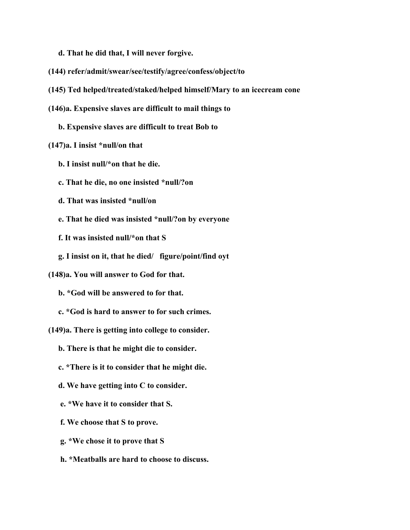**d. That he did that, I will never forgive.**

- **(144) refer/admit/swear/see/testify/agree/confess/object/to**
- **(145) Ted helped/treated/staked/helped himself/Mary to an icecream cone**
- **(146)a. Expensive slaves are difficult to mail things to**

 **b. Expensive slaves are difficult to treat Bob to**

#### **(147)a. I insist \*null/on that**

- **b. I insist null/\*on that he die.**
- **c. That he die, no one insisted \*null/?on**
- **d. That was insisted \*null/on**
- **e. That he died was insisted \*null/?on by everyone**
- **f. It was insisted null/\*on that S**
- **g. I insist on it, that he died/ figure/point/find oyt**
- **(148)a. You will answer to God for that.**
	- **b. \*God will be answered to for that.**
	- **c. \*God is hard to answer to for such crimes.**
- **(149)a. There is getting into college to consider.**
	- **b. There is that he might die to consider.**
	- **c. \*There is it to consider that he might die.**
	- **d. We have getting into C to consider.**
	- **e. \*We have it to consider that S.**
	- **f. We choose that S to prove.**
	- **g. \*We chose it to prove that S**
	- **h. \*Meatballs are hard to choose to discuss.**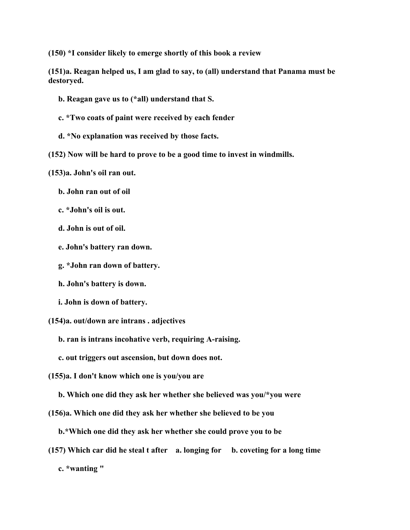**(150) \*I consider likely to emerge shortly of this book a review**

**(151)a. Reagan helped us, I am glad to say, to (all) understand that Panama must be destoryed.**

- **b. Reagan gave us to (\*all) understand that S.**
- **c. \*Two coats of paint were received by each fender**
- **d. \*No explanation was received by those facts.**
- **(152) Now will be hard to prove to be a good time to invest in windmills.**

**(153)a. John's oil ran out.**

- **b. John ran out of oil**
- **c. \*John's oil is out.**
- **d. John is out of oil.**
- **e. John's battery ran down.**
- **g. \*John ran down of battery.**
- **h. John's battery is down.**
- **i. John is down of battery.**
- **(154)a. out/down are intrans . adjectives**
	- **b. ran is intrans incohative verb, requiring A-raising.**
	- **c. out triggers out ascension, but down does not.**
- **(155)a. I don't know which one is you/you are**
	- **b. Which one did they ask her whether she believed was you/\*you were**
- **(156)a. Which one did they ask her whether she believed to be you**
	- **b.\*Which one did they ask her whether she could prove you to be**
- **(157) Which car did he steal t after a. longing for b. coveting for a long time**

 **c. \*wanting "**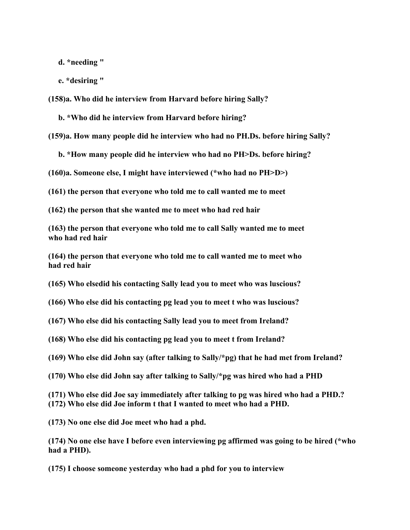**d. \*needing "**

 **e. \*desiring "**

**(158)a. Who did he interview from Harvard before hiring Sally?**

 **b. \*Who did he interview from Harvard before hiring?**

**(159)a. How many people did he interview who had no PH.Ds. before hiring Sally?**

 **b. \*How many people did he interview who had no PH>Ds. before hiring?**

**(160)a. Someone else, I might have interviewed (\*who had no PH>D>)**

**(161) the person that everyone who told me to call wanted me to meet**

**(162) the person that she wanted me to meet who had red hair**

**(163) the person that everyone who told me to call Sally wanted me to meet who had red hair**

**(164) the person that everyone who told me to call wanted me to meet who had red hair**

**(165) Who elsedid his contacting Sally lead you to meet who was luscious?**

**(166) Who else did his contacting pg lead you to meet t who was luscious?**

**(167) Who else did his contacting Sally lead you to meet from Ireland?**

**(168) Who else did his contacting pg lead you to meet t from Ireland?**

**(169) Who else did John say (after talking to Sally/\*pg) that he had met from Ireland?**

**(170) Who else did John say after talking to Sally/\*pg was hired who had a PHD**

**(171) Who else did Joe say immediately after talking to pg was hired who had a PHD.? (172) Who else did Joe inform t that I wanted to meet who had a PHD.**

**(173) No one else did Joe meet who had a phd.**

**(174) No one else have I before even interviewing pg affirmed was going to be hired (\*who had a PHD).**

**(175) I choose someone yesterday who had a phd for you to interview**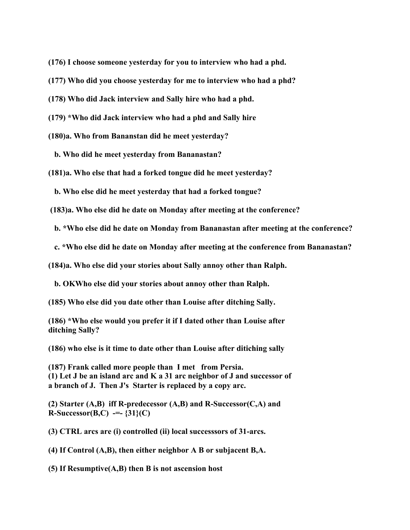**(176) I choose someone yesterday for you to interview who had a phd.**

**(177) Who did you choose yesterday for me to interview who had a phd?**

**(178) Who did Jack interview and Sally hire who had a phd.**

**(179) \*Who did Jack interview who had a phd and Sally hire**

**(180)a. Who from Bananstan did he meet yesterday?**

 **b. Who did he meet yesterday from Bananastan?**

**(181)a. Who else that had a forked tongue did he meet yesterday?**

 **b. Who else did he meet yesterday that had a forked tongue?**

 **(183)a. Who else did he date on Monday after meeting at the conference?**

 **b. \*Who else did he date on Monday from Bananastan after meeting at the conference?**

 **c. \*Who else did he date on Monday after meeting at the conference from Bananastan?**

**(184)a. Who else did your stories about Sally annoy other than Ralph.**

 **b. OKWho else did your stories about annoy other than Ralph.**

**(185) Who else did you date other than Louise after ditching Sally.**

**(186) \*Who else would you prefer it if I dated other than Louise after ditching Sally?**

**(186) who else is it time to date other than Louise after ditiching sally**

**(187) Frank called more people than I met from Persia. (1) Let J be an island arc and K a 31 arc neighbor of J and successor of a branch of J. Then J's Starter is replaced by a copy arc.**

**(2) Starter (A,B) iff R-predecessor (A,B) and R-Successor(C,A) and R-Successor(B,C) -=- {31}(C)**

**(3) CTRL arcs are (i) controlled (ii) local successsors of 31-arcs.**

**(4) If Control (A,B), then either neighbor A B or subjacent B,A.**

**(5) If Resumptive(A,B) then B is not ascension host**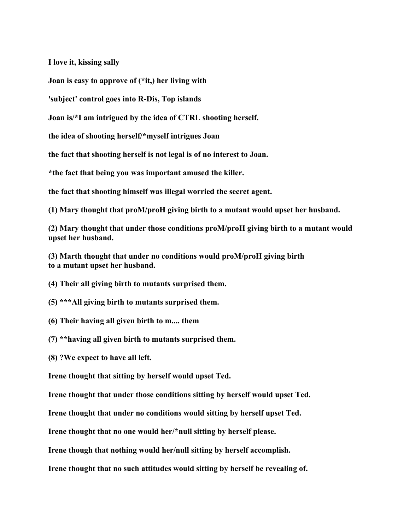**I love it, kissing sally**

**Joan is easy to approve of (\*it,) her living with**

**'subject' control goes into R-Dis, Top islands**

**Joan is/\*I am intrigued by the idea of CTRL shooting herself.**

**the idea of shooting herself/\*myself intrigues Joan**

**the fact that shooting herself is not legal is of no interest to Joan.**

**\*the fact that being you was important amused the killer.**

**the fact that shooting himself was illegal worried the secret agent.**

**(1) Mary thought that proM/proH giving birth to a mutant would upset her husband.**

**(2) Mary thought that under those conditions proM/proH giving birth to a mutant would upset her husband.**

**(3) Marth thought that under no conditions would proM/proH giving birth to a mutant upset her husband.**

**(4) Their all giving birth to mutants surprised them.**

- **(5) \*\*\*All giving birth to mutants surprised them.**
- **(6) Their having all given birth to m.... them**

**(7) \*\*having all given birth to mutants surprised them.**

**(8) ?We expect to have all left.**

**Irene thought that sitting by herself would upset Ted.**

**Irene thought that under those conditions sitting by herself would upset Ted.**

**Irene thought that under no conditions would sitting by herself upset Ted.**

**Irene thought that no one would her/\*null sitting by herself please.**

**Irene though that nothing would her/null sitting by herself accomplish.**

**Irene thought that no such attitudes would sitting by herself be revealing of.**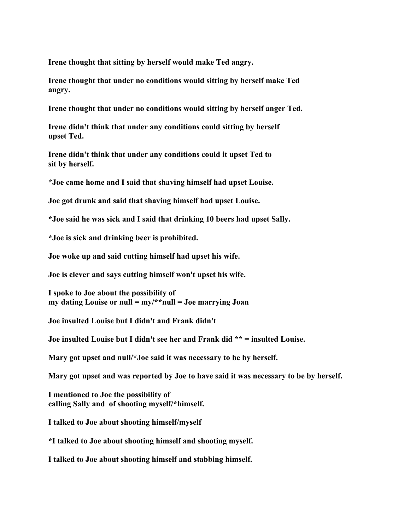**Irene thought that sitting by herself would make Ted angry.**

**Irene thought that under no conditions would sitting by herself make Ted angry.**

**Irene thought that under no conditions would sitting by herself anger Ted.**

**Irene didn't think that under any conditions could sitting by herself upset Ted.**

**Irene didn't think that under any conditions could it upset Ted to sit by herself.**

**\*Joe came home and I said that shaving himself had upset Louise.**

**Joe got drunk and said that shaving himself had upset Louise.**

**\*Joe said he was sick and I said that drinking 10 beers had upset Sally.**

**\*Joe is sick and drinking beer is prohibited.**

**Joe woke up and said cutting himself had upset his wife.**

**Joe is clever and says cutting himself won't upset his wife.**

**I spoke to Joe about the possibility of my dating Louise or null = my/\*\*null = Joe marrying Joan**

**Joe insulted Louise but I didn't and Frank didn't**

**Joe insulted Louise but I didn't see her and Frank did \*\* = insulted Louise.**

**Mary got upset and null/\*Joe said it was necessary to be by herself.**

**Mary got upset and was reported by Joe to have said it was necessary to be by herself.**

**I mentioned to Joe the possibility of calling Sally and of shooting myself/\*himself.**

**I talked to Joe about shooting himself/myself**

**\*I talked to Joe about shooting himself and shooting myself.**

**I talked to Joe about shooting himself and stabbing himself.**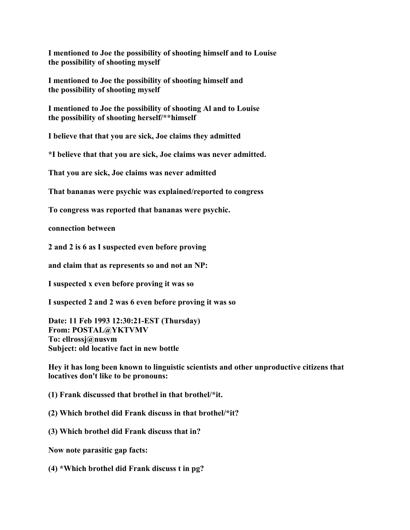**I mentioned to Joe the possibility of shooting himself and to Louise the possibility of shooting myself**

**I mentioned to Joe the possibility of shooting himself and the possibility of shooting myself**

**I mentioned to Joe the possibility of shooting Al and to Louise the possibility of shooting herself/\*\*himself**

**I believe that that you are sick, Joe claims they admitted**

**\*I believe that that you are sick, Joe claims was never admitted.**

**That you are sick, Joe claims was never admitted**

**That bananas were psychic was explained/reported to congress**

**To congress was reported that bananas were psychic.**

**connection between**

**2 and 2 is 6 as I suspected even before proving**

**and claim that as represents so and not an NP:**

**I suspected x even before proving it was so**

**I suspected 2 and 2 was 6 even before proving it was so**

**Date: 11 Feb 1993 12:30:21-EST (Thursday) From: POSTAL@YKTVMV To: ellrossj@nusvm Subject: old locative fact in new bottle**

**Hey it has long been known to linguistic scientists and other unproductive citizens that locatives don't like to be pronouns:**

**(1) Frank discussed that brothel in that brothel/\*it.**

**(2) Which brothel did Frank discuss in that brothel/\*it?**

**(3) Which brothel did Frank discuss that in?**

**Now note parasitic gap facts:**

**(4) \*Which brothel did Frank discuss t in pg?**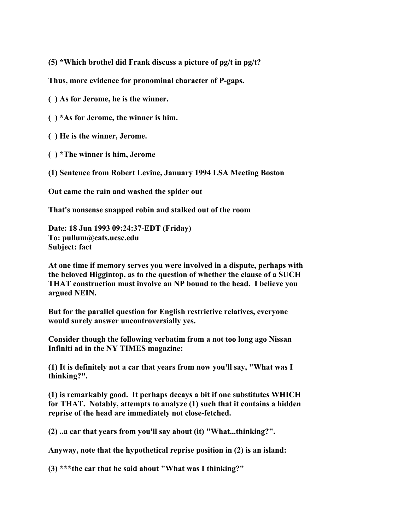**(5) \*Which brothel did Frank discuss a picture of pg/t in pg/t?**

**Thus, more evidence for pronominal character of P-gaps.**

**( ) As for Jerome, he is the winner.**

- **( ) \*As for Jerome, the winner is him.**
- **( ) He is the winner, Jerome.**
- **( ) \*The winner is him, Jerome**

**(1) Sentence from Robert Levine, January 1994 LSA Meeting Boston**

**Out came the rain and washed the spider out**

**That's nonsense snapped robin and stalked out of the room**

**Date: 18 Jun 1993 09:24:37-EDT (Friday) To: pullum@cats.ucsc.edu Subject: fact**

**At one time if memory serves you were involved in a dispute, perhaps with the beloved Higgintop, as to the question of whether the clause of a SUCH THAT construction must involve an NP bound to the head. I believe you argued NEIN.**

**But for the parallel question for English restrictive relatives, everyone would surely answer uncontroversially yes.**

**Consider though the following verbatim from a not too long ago Nissan Infiniti ad in the NY TIMES magazine:**

**(1) It is definitely not a car that years from now you'll say, "What was I thinking?".**

**(1) is remarkably good. It perhaps decays a bit if one substitutes WHICH for THAT. Notably, attempts to analyze (1) such that it contains a hidden reprise of the head are immediately not close-fetched.**

**(2) ..a car that years from you'll say about (it) "What...thinking?".**

**Anyway, note that the hypothetical reprise position in (2) is an island:**

**(3) \*\*\*the car that he said about "What was I thinking?"**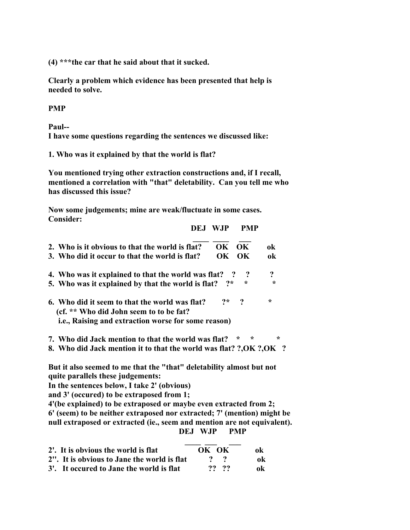**(4) \*\*\*the car that he said about that it sucked.**

**Clearly a problem which evidence has been presented that help is needed to solve.**

**PMP**

**Paul--**

**I have some questions regarding the sentences we discussed like:**

**1. Who was it explained by that the world is flat?**

**You mentioned trying other extraction constructions and, if I recall, mentioned a correlation with "that" deletability. Can you tell me who has discussed this issue?**

 **DEJ WJP PMP**

**Now some judgements; mine are weak/fluctuate in some cases. Consider:**

| 2. Who is it obvious to that the world is flat?                                                                                                   | OK. | OK.                 | ok           |
|---------------------------------------------------------------------------------------------------------------------------------------------------|-----|---------------------|--------------|
| 3. Who did it occur to that the world is flat?                                                                                                    | OK. | OK                  | ok           |
| 4. Who was it explained to that the world was flat?<br>5. Who was it explained by that the world is flat?                                         | クォ  | $\cdot$ ?<br>$\ast$ | ?<br>$\star$ |
| 6. Who did it seem to that the world was flat?<br>(cf. ** Who did John seem to to be fat?)<br>i.e., Raising and extraction worse for some reason) |     | $2^*$ $2$           | $\ast$       |
| 7. Who did Jack mention to that the world was flat?                                                                                               |     | ÷<br>÷              | $\star$      |

**8. Who did Jack mention it to that the world was flat? ?,OK ?,OK ?**

**But it also seemed to me that the "that" deletability almost but not quite parallels these judgements:**

**In the sentences below, I take 2' (obvious)**

**and 3' (occured) to be extraposed from 1;**

**4'(be explained) to be extraposed or maybe even extracted from 2; 6' (seem) to be neither extraposed nor extracted; 7' (mention) might be null extraposed or extracted (ie., seem and mention are not equivalent). DEJ WJP PMP**

| 2'. It is obvious the world is flat         | OK OK             | 0k             |
|---------------------------------------------|-------------------|----------------|
| 2". It is obvious to Jane the world is flat | $\gamma$ $\gamma$ | 0 <sub>k</sub> |
| 3'. It occured to Jane the world is flat    | ?? ??             | ok             |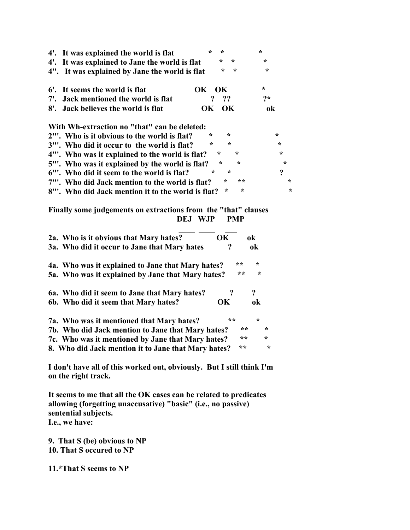| 4'. It was explained the world is flat                                                 | ÷              | ÷                  | $\star$          |            |
|----------------------------------------------------------------------------------------|----------------|--------------------|------------------|------------|
| 4'. It was explained to Jane the world is flat                                         |                | $\star$<br>$\star$ | $\star$          |            |
| 4". It was explained by Jane the world is flat                                         |                | $\star$<br>$\star$ | $\star$          |            |
| 6'.<br>It seems the world is flat                                                      | <b>OK</b>      | OK                 | ÷                |            |
| Jack mentioned the world is flat<br>$7^{\prime}$ .                                     | ?              | ??                 | クォ               |            |
| Jack believes the world is flat<br>$8^\circ$ .                                         | OK             | OK                 | ok               |            |
| With Wh-extraction no "that" can be deleted:                                           |                |                    |                  |            |
| 2"". Who is it obvious to the world is flat?                                           | $\ast$         | $\star$            |                  | $\star$    |
| 3"'. Who did it occur to the world is flat?                                            | $\star$        | $\star$            |                  | $\star$    |
| 4"'. Who was it explained to the world is flat?                                        | $\star$        | $\star$            |                  | $\star$    |
| 5"'. Who was it explained by the world is flat?                                        | $\star$        | $\star$            |                  | $\star$    |
| 6"'. Who did it seem to the world is flat?                                             | $\star$        | $\star$            |                  | $\ddot{?}$ |
|                                                                                        |                | $\star$<br>**      |                  | $\ast$     |
| 7"'. Who did Jack mention to the world is flat?                                        |                |                    |                  |            |
| 8"'. Who did Jack mention it to the world is flat?                                     |                | $\star$<br>$\star$ |                  | $\star$    |
| Finally some judgements on extractions from the "that" clauses                         | <b>DEJ WJP</b> | <b>PMP</b>         |                  |            |
|                                                                                        |                | <b>OK</b>          | ok               |            |
| 2a. Who is it obvious that Mary hates?<br>3a. Who did it occur to Jane that Mary hates |                | $\ddot{?}$         | ok               |            |
| 4a. Who was it explained to Jane that Mary hates?                                      |                | **                 | ÷                |            |
| 5a. Who was it explained by Jane that Mary hates?                                      |                | **                 | ÷                |            |
| 6a. Who did it seem to Jane that Mary hates?                                           |                | $\ddot{?}$         | $\boldsymbol{?}$ |            |
| 6b. Who did it seem that Mary hates?                                                   |                | OK                 | ok               |            |
| 7a. Who was it mentioned that Mary hates?                                              |                | **                 | $\star$          |            |
| 7b. Who did Jack mention to Jane that Mary hates?                                      |                | **                 | $\star$          |            |
| 7c. Who was it mentioned by Jane that Mary hates?                                      |                | **                 | ÷                |            |
| 8. Who did Jack mention it to Jane that Mary hates?                                    |                | **                 | $\star$          |            |

**I don't have all of this worked out, obviously. But I still think I'm on the right track.**

**It seems to me that all the OK cases can be related to predicates allowing (forgetting unaccusative) "basic" (i.e., no passive) sentential subjects. I.e., we have:**

**9. That S (be) obvious to NP 10. That S occured to NP**

**11.\*That S seems to NP**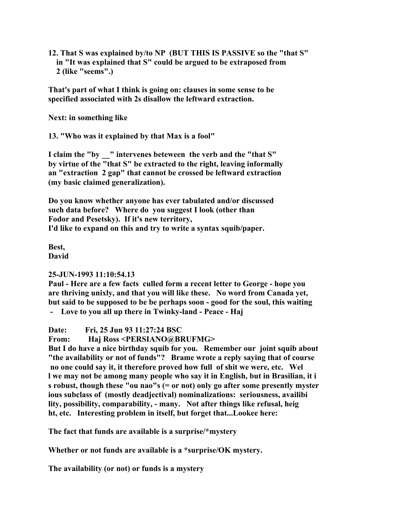**12. That S was explained by/to NP (BUT THIS IS PASSIVE so the "that S" in "It was explained that S" could be argued to be extraposed from 2 (like "seems".)**

**That's part of what I think is going on: clauses in some sense to be specified associated with 2s disallow the leftward extraction.**

**Next: in something like**

**13. "Who was it explained by that Max is a fool"**

**I claim the "by \_\_" intervenes beteween the verb and the "that S" by virtue of the "that S" be extracted to the right, leaving informally an "extraction 2 gap" that cannot be crossed be leftward extraction (my basic claimed generalization).**

**Do you know whether anyone has ever tabulated and/or discussed such data before? Where do you suggest I look (other than Fodor and Pesetsky). If it's new territory, I'd like to expand on this and try to write a syntax squib/paper.**

**Best, David**

## **25-JUN-1993 11:10:54.13**

**Paul - Here are a few facts culled form a recent letter to George - hope you are thriving unixly, and that you will like these. No word from Canada yet, but said to be supposed to be be perhaps soon - good for the soul, this waiting**

**- Love to you all up there in Twinky-land - Peace - Haj**

**Date: Fri, 25 Jun 93 11:27:24 BSC**

**From: Haj Ross <PERSIANO@BRUFMG>**

**But I do have a nice birthday squib for you. Remember our joint squib about "the availability or not of funds"? Brame wrote a reply saying that of course no one could say it, it therefore proved how full of shit we were, etc. Wel l we may not be among many people who say it in English, but in Brasilian, it i s robust, though these "ou nao"s (= or not) only go after some presently myster ious subclass of (mostly deadjectival) nominalizations: seriousness, availibi lity, possibility, comparability, - many. Not after things like refusal, heig ht, etc. Interesting problem in itself, but forget that...Lookee here:**

**The fact that funds are available is a surprise/\*mystery**

**Whether or not funds are available is a \*surprise/OK mystery.**

**The availability (or not) or funds is a mystery**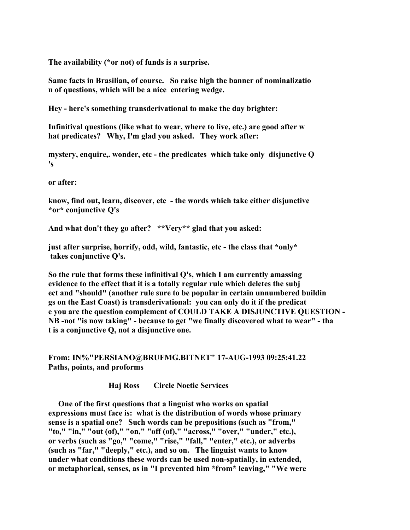**The availability (\*or not) of funds is a surprise.**

**Same facts in Brasilian, of course. So raise high the banner of nominalizatio n of questions, which will be a nice entering wedge.**

**Hey - here's something transderivational to make the day brighter:**

**Infinitival questions (like what to wear, where to live, etc.) are good after w hat predicates? Why, I'm glad you asked. They work after:**

**mystery, enquire,. wonder, etc - the predicates which take only disjunctive Q 's**

**or after:**

**know, find out, learn, discover, etc - the words which take either disjunctive \*or\* conjunctive Q's**

**And what don't they go after? \*\*Very\*\* glad that you asked:**

**just after surprise, horrify, odd, wild, fantastic, etc - the class that \*only\* takes conjunctive Q's.**

**So the rule that forms these infinitival Q's, which I am currently amassing evidence to the effect that it is a totally regular rule which deletes the subj ect and "should" (another rule sure to be popular in certain unnumbered buildin gs on the East Coast) is transderivational: you can only do it if the predicat e you are the question complement of COULD TAKE A DISJUNCTIVE QUESTION - NB -not "is now taking" - because to get "we finally discovered what to wear" - tha t is a conjunctive Q, not a disjunctive one.**

**From: IN%"PERSIANO@BRUFMG.BITNET" 17-AUG-1993 09:25:41.22 Paths, points, and proforms**

 **Haj Ross Circle Noetic Services**

 **One of the first questions that a linguist who works on spatial expressions must face is: what is the distribution of words whose primary sense is a spatial one? Such words can be prepositions (such as "from," "to," "in," "out (of)," "on," "off (of)," "across," "over," "under," etc.), or verbs (such as "go," "come," "rise," "fall," "enter," etc.), or adverbs (such as "far," "deeply," etc.), and so on. The linguist wants to know under what conditions these words can be used non-spatially, in extended, or metaphorical, senses, as in "I prevented him \*from\* leaving," "We were**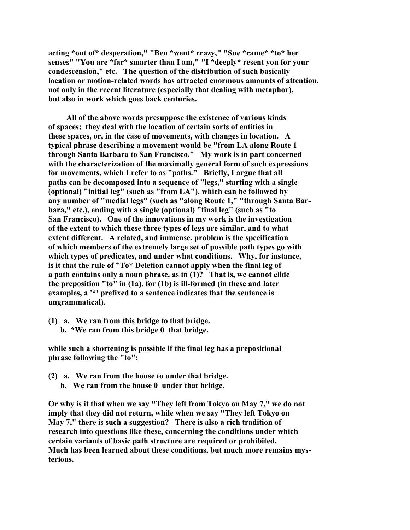**acting \*out of\* desperation," "Ben \*went\* crazy," "Sue \*came\* \*to\* her senses" "You are \*far\* smarter than I am," "I \*deeply\* resent you for your condescension," etc. The question of the distribution of such basically location or motion-related words has attracted enormous amounts of attention, not only in the recent literature (especially that dealing with metaphor), but also in work which goes back centuries.**

 **All of the above words presuppose the existence of various kinds of spaces; they deal with the location of certain sorts of entities in these spaces, or, in the case of movements, with changes in location. A typical phrase describing a movement would be "from LA along Route 1 through Santa Barbara to San Francisco." My work is in part concerned with the characterization of the maximally general form of such expressions for movements, which I refer to as "paths." Briefly, I argue that all paths can be decomposed into a sequence of "legs," starting with a single (optional) "initial leg" (such as "from LA"), which can be followed by any number of "medial legs" (such as "along Route 1," "through Santa Barbara," etc.), ending with a single (optional) "final leg" (such as "to San Francisco). One of the innovations in my work is the investigation of the extent to which these three types of legs are similar, and to what extent different. A related, and immense, problem is the specification of which members of the extremely large set of possible path types go with which types of predicates, and under what conditions. Why, for instance, is it that the rule of \*To\* Deletion cannot apply when the final leg of a path contains only a noun phrase, as in (1)? That is, we cannot elide the preposition "to" in (1a), for (1b) is ill-formed (in these and later examples, a '\*' prefixed to a sentence indicates that the sentence is ungrammatical).**

**(1) a. We ran from this bridge to that bridge. b. \*We ran from this bridge 0 that bridge.**

**while such a shortening is possible if the final leg has a prepositional phrase following the "to":**

**(2) a. We ran from the house to under that bridge. b. We ran from the house 0 under that bridge.**

**Or why is it that when we say "They left from Tokyo on May 7," we do not imply that they did not return, while when we say "They left Tokyo on May 7," there is such a suggestion? There is also a rich tradition of research into questions like these, concerning the conditions under which certain variants of basic path structure are required or prohibited. Much has been learned about these conditions, but much more remains mysterious.**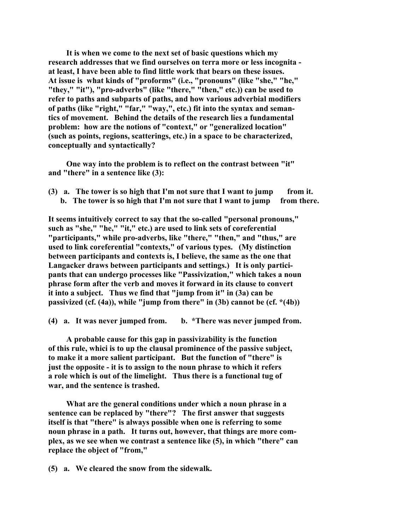**It is when we come to the next set of basic questions which my research addresses that we find ourselves on terra more or less incognita at least, I have been able to find little work that bears on these issues. At issue is what kinds of "proforms" (i.e., "pronouns" (like "she," "he," "they," "it"), "pro-adverbs" (like "there," "then," etc.)) can be used to refer to paths and subparts of paths, and how various adverbial modifiers of paths (like "right," "far," "way,", etc.) fit into the syntax and semantics of movement. Behind the details of the research lies a fundamental problem: how are the notions of "context," or "generalized location" (such as points, regions, scatterings, etc.) in a space to be characterized, conceptually and syntactically?**

 **One way into the problem is to reflect on the contrast between "it" and "there" in a sentence like (3):**

**(3) a. The tower is so high that I'm not sure that I want to jump from it. b. The tower is so high that I'm not sure that I want to jump from there.**

**It seems intuitively correct to say that the so-called "personal pronouns," such as "she," "he," "it," etc.) are used to link sets of coreferential "participants," while pro-adverbs, like "there," "then," and "thus," are used to link coreferential "contexts," of various types. (My distinction between participants and contexts is, I believe, the same as the one that Langacker draws between participants and settings.) It is only partici pants that can undergo processes like "Passivization," which takes a noun phrase form after the verb and moves it forward in its clause to convert it into a subject. Thus we find that "jump from it" in (3a) can be passivized (cf. (4a)), while "jump from there" in (3b) cannot be (cf. \*(4b))**

**(4) a. It was never jumped from. b. \*There was never jumped from.**

 **A probable cause for this gap in passivizability is the function of this rule, whici is to up the clausal prominence of the passive subject, to make it a more salient participant. But the function of "there" is just the opposite - it is to assign to the noun phrase to which it refers a role which is out of the limelight. Thus there is a functional tug of war, and the sentence is trashed.**

 **What are the general conditions under which a noun phrase in a sentence can be replaced by "there"? The first answer that suggests itself is that "there" is always possible when one is referring to some noun phrase in a path. It turns out, however, that things are more complex, as we see when we contrast a sentence like (5), in which "there" can replace the object of "from,"**

**(5) a. We cleared the snow from the sidewalk.**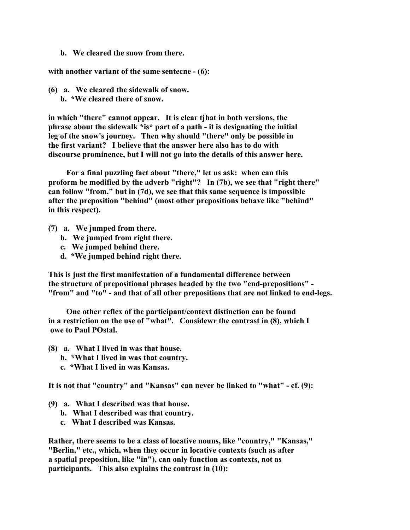**b. We cleared the snow from there.**

**with another variant of the same sentecne - (6):**

**(6) a. We cleared the sidewalk of snow. b. \*We cleared there of snow.**

**in which "there" cannot appear. It is clear tjhat in both versions, the phrase about the sidewalk \*is\* part of a path - it is designating the initial leg of the snow's journey. Then why should "there" only be possible in the first variant? I believe that the answer here also has to do with discourse prominence, but I will not go into the details of this answer here.**

 **For a final puzzling fact about "there," let us ask: when can this proform be modified by the adverb "right"? In (7b), we see that "right there" can follow "from," but in (7d), we see that this same sequence is impossible after the preposition "behind" (most other prepositions behave like "behind" in this respect).**

- **(7) a. We jumped from there.**
	- **b. We jumped from right there.**
	- **c. We jumped behind there.**
	- **d. \*We jumped behind right there.**

**This is just the first manifestation of a fundamental difference between the structure of prepositional phrases headed by the two "end-prepositions" - "from" and "to" - and that of all other prepositions that are not linked to end-legs.**

 **One other reflex of the participant/context distinction can be found in a restriction on the use of "what". Considewr the contrast in (8), which I owe to Paul POstal.**

- **(8) a. What I lived in was that house.**
	- **b. \*What I lived in was that country.**
	- **c. \*What I lived in was Kansas.**

**It is not that "country" and "Kansas" can never be linked to "what" - cf. (9):**

- **(9) a. What I described was that house.**
	- **b. What I described was that country.**
	- **c. What I described was Kansas.**

**Rather, there seems to be a class of locative nouns, like "country," "Kansas," "Berlin," etc., which, when they occur in locative contexts (such as after a spatial preposition, like "in"), can only function as contexts, not as participants. This also explains the contrast in (10):**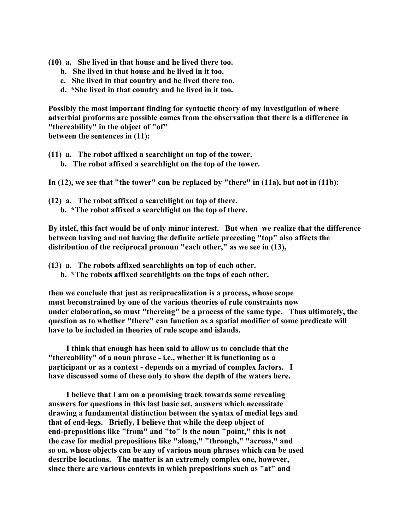- **(10) a. She lived in that house and he lived there too.**
	- **b. She lived in that house and he lived in it too.**
	- **c. She lived in that country and he lived there too.**
	- **d. \*She lived in that country and he lived in it too.**

**Possibly the most important finding for syntactic theory of my investigation of where adverbial proforms are possible comes from the observation that there is a difference in "thereability" in the object of "of" between the sentences in (11):**

**(11) a. The robot affixed a searchlight on top of the tower.**

 **b. The robot affixed a searchlight on the top of the tower.**

**In (12), we see that "the tower" can be replaced by "there" in (11a), but not in (11b):**

**(12) a. The robot affixed a searchlight on top of there. b. \*The robot affixed a searchlight on the top of there.**

**By itslef, this fact would be of only minor interest. But when we realize that the difference between having and not having the definite article preceding "top" also affects the distribution of the reciprocal pronoun "each other," as we see in (13),**

- **(13) a. The robots affixed searchlights on top of each other.**
	- **b. \*The robots affixed searchlights on the tops of each other.**

**then we conclude that just as reciprocalization is a process, whose scope must beconstrained by one of the various theories of rule constraints now under elaboration, so must "thereing" be a process of the same type. Thus ultimately, the question as to whether "there" can function as a spatial modifier of some predicate will have to be included in theories of rule scope and islands.**

 **I think that enough has been said to allow us to conclude that the "thereability" of a noun phrase - i.e., whether it is functioning as a participant or as a context - depends on a myriad of complex factors. I have discussed some of these only to show the depth of the waters here.**

 **I believe that I am on a promising track towards some revealing answers for questions in this last basic set, answers which necessitate drawing a fundamental distinction between the syntax of medial legs and that of end-legs. Briefly, I believe that while the deep object of end-prepositions like "from" and "to" is the noun "point," this is not the case for medial prepositions like "along," "through," "across," and so on, whose objects can be any of various noun phrases which can be used describe locations. The matter is an extremely complex one, however, since there are various contexts in which prepositions such as "at" and**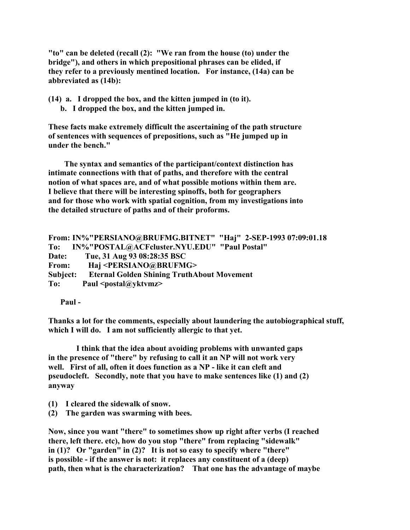**"to" can be deleted (recall (2): "We ran from the house (to) under the bridge"), and others in which prepositional phrases can be elided, if they refer to a previously mentined location. For instance, (14a) can be abbreviated as (14b):**

**(14) a. I dropped the box, and the kitten jumped in (to it). b. I dropped the box, and the kitten jumped in.**

**These facts make extremely difficult the ascertaining of the path structure of sentences with sequences of prepositions, such as "He jumped up in under the bench."**

 **The syntax and semantics of the participant/context distinction has intimate connections with that of paths, and therefore with the central notion of what spaces are, and of what possible motions within them are. I believe that there will be interesting spinoffs, both for geographers and for those who work with spatial cognition, from my investigations into the detailed structure of paths and of their proforms.**

```
From: IN%"PERSIANO@BRUFMG.BITNET" "Haj" 2-SEP-1993 07:09:01.18
To: IN%"POSTAL@ACFcluster.NYU.EDU" "Paul Postal"
Date: Tue, 31 Aug 93 08:28:35 BSC
From: Haj <PERSIANO@BRUFMG>
Subject: Eternal Golden Shining TruthAbout Movement
To: Paul <postal@yktvmz>
```
 **Paul -**

**Thanks a lot for the comments, especially about laundering the autobiographical stuff, which I will do. I am not sufficiently allergic to that yet.**

 **I think that the idea about avoiding problems with unwanted gaps in the presence of "there" by refusing to call it an NP will not work very well. First of all, often it does function as a NP - like it can cleft and pseudocleft. Secondly, note that you have to make sentences like (1) and (2) anyway**

- **(1) I cleared the sidewalk of snow.**
- **(2) The garden was swarming with bees.**

**Now, since you want "there" to sometimes show up right after verbs (I reached there, left there. etc), how do you stop "there" from replacing "sidewalk" in (1)? Or "garden" in (2)? It is not so easy to specify where "there" is possible - if the answer is not: it replaces any constituent of a (deep) path, then what is the characterization? That one has the advantage of maybe**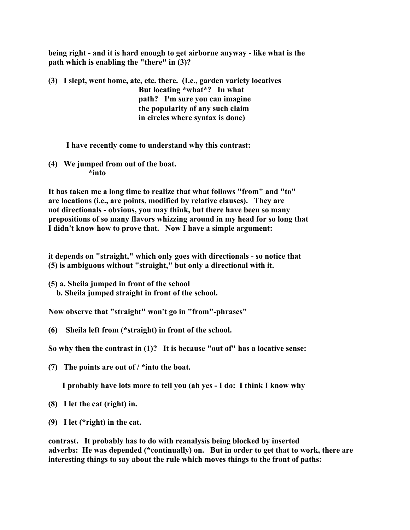**being right - and it is hard enough to get airborne anyway - like what is the path which is enabling the "there" in (3)?**

**(3) I slept, went home, ate, etc. there. (I.e., garden variety locatives But locating \*what\*? In what path? I'm sure you can imagine the popularity of any such claim in circles where syntax is done)**

# **I have recently come to understand why this contrast:**

**(4) We jumped from out of the boat. \*into**

**It has taken me a long time to realize that what follows "from" and "to" are locations (i.e., are points, modified by relative clauses). They are not directionals - obvious, you may think, but there have been so many prepositions of so many flavors whizzing around in my head for so long that I didn't know how to prove that. Now I have a simple argument:**

**it depends on "straight," which only goes with directionals - so notice that (5) is ambiguous without "straight," but only a directional with it.**

**(5) a. Sheila jumped in front of the school b. Sheila jumped straight in front of the school.**

**Now observe that "straight" won't go in "from"-phrases"**

**(6) Sheila left from (\*straight) in front of the school.**

**So why then the contrast in (1)? It is because "out of" has a locative sense:**

**(7) The points are out of / \*into the boat.**

 **I probably have lots more to tell you (ah yes - I do: I think I know why**

- **(8) I let the cat (right) in.**
- **(9) I let (\*right) in the cat.**

**contrast. It probably has to do with reanalysis being blocked by inserted adverbs: He was depended (\*continually) on. But in order to get that to work, there are interesting things to say about the rule which moves things to the front of paths:**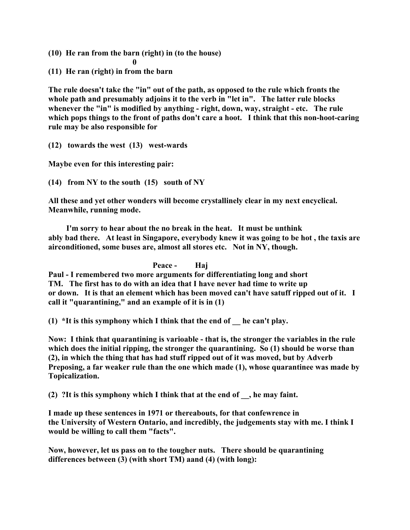**(10) He ran from the barn (right) in (to the house)**

 **0 (11) He ran (right) in from the barn**

**The rule doesn't take the "in" out of the path, as opposed to the rule which fronts the whole path and presumably adjoins it to the verb in "let in". The latter rule blocks whenever the "in" is modified by anything - right, down, way, straight - etc. The rule which pops things to the front of paths don't care a hoot. I think that this non-hoot-caring rule may be also responsible for**

**(12) towards the west (13) west-wards**

**Maybe even for this interesting pair:**

**(14) from NY to the south (15) south of NY**

**All these and yet other wonders will become crystallinely clear in my next encyclical. Meanwhile, running mode.**

 **I'm sorry to hear about the no break in the heat. It must be unthink ably bad there. At least in Singapore, everybody knew it was going to be hot , the taxis are airconditioned, some buses are, almost all stores etc. Not in NY, though.**

 **Peace - Haj**

**Paul - I remembered two more arguments for differentiating long and short TM. The first has to do with an idea that I have never had time to write up or down. It is that an element which has been moved can't have satuff ripped out of it. I call it "quarantining," and an example of it is in (1)**

**(1) \*It is this symphony which I think that the end of \_\_ he can't play.**

**Now: I think that quarantining is varioable - that is, the stronger the variables in the rule which does the initial ripping, the stronger the quarantining. So (1) should be worse than (2), in which the thing that has had stuff ripped out of it was moved, but by Adverb Preposing, a far weaker rule than the one which made (1), whose quarantinee was made by Topicalization.**

**(2) ?It is this symphony which I think that at the end of \_\_, he may faint.**

**I made up these sentences in 1971 or thereabouts, for that confewrence in the University of Western Ontario, and incredibly, the judgements stay with me. I think I would be willing to call them "facts".**

**Now, however, let us pass on to the tougher nuts. There should be quarantining differences between (3) (with short TM) aand (4) (with long):**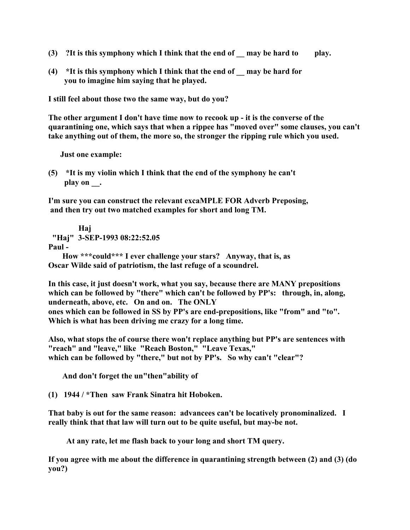- **(3) ?It is this symphony which I think that the end of \_\_ may be hard to play.**
- **(4) \*It is this symphony which I think that the end of \_\_ may be hard for you to imagine him saying that he played.**

**I still feel about those two the same way, but do you?**

**The other argument I don't have time now to recook up - it is the converse of the quarantining one, which says that when a rippee has "moved over" some clauses, you can't take anything out of them, the more so, the stronger the ripping rule which you used.**

 **Just one example:**

**(5) \*It is my violin which I think that the end of the symphony he can't play on \_\_.**

**I'm sure you can construct the relevant excaMPLE FOR Adverb Preposing, and then try out two matched examples for short and long TM.**

 **Haj "Haj" 3-SEP-1993 08:22:52.05 Paul - How \*\*\*could\*\*\* I ever challenge your stars? Anyway, that is, as Oscar Wilde said of patriotism, the last refuge of a scoundrel.**

**In this case, it just doesn't work, what you say, because there are MANY prepositions which can be followed by "there" which can't be followed by PP's: through, in, along, underneath, above, etc. On and on. The ONLY ones which can be followed in SS by PP's are end-prepositions, like "from" and "to". Which is what has been driving me crazy for a long time.**

**Also, what stops the of course there won't replace anything but PP's are sentences with "reach" and "leave," like "Reach Boston," "Leave Texas," which can be followed by "there," but not by PP's. So why can't "clear"?**

 **And don't forget the un"then"ability of**

**(1) 1944 / \*Then saw Frank Sinatra hit Hoboken.**

**That baby is out for the same reason: advancees can't be locatively pronominalized. I really think that that law will turn out to be quite useful, but may-be not.**

 **At any rate, let me flash back to your long and short TM query.**

**If you agree with me about the difference in quarantining strength between (2) and (3) (do you?)**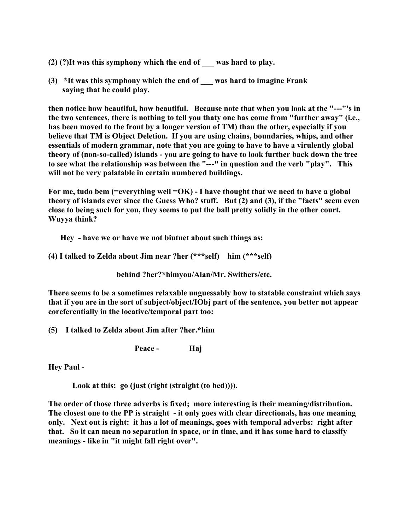- **(2) (?)It was this symphony which the end of \_\_\_ was hard to play.**
- **(3) \*It was this symphony which the end of \_\_\_ was hard to imagine Frank saying that he could play.**

**then notice how beautiful, how beautiful. Because note that when you look at the "---"'s in the two sentences, there is nothing to tell you thaty one has come from "further away" (i.e., has been moved to the front by a longer version of TM) than the other, especially if you believe that TM is Object Deletion. If you are using chains, boundaries, whips, and other essentials of modern grammar, note that you are going to have to have a virulently global theory of (non-so-called) islands - you are going to have to look further back down the tree to see what the relationship was between the "---" in question and the verb "play". This will not be very palatable in certain numbered buildings.**

For me, tudo bem (=everything well =OK) - I have thought that we need to have a global **theory of islands ever since the Guess Who? stuff. But (2) and (3), if the "facts" seem even close to being such for you, they seems to put the ball pretty solidly in the other court. Wuyya think?**

 **Hey - have we or have we not biutnet about such things as:**

**(4) I talked to Zelda about Jim near ?her (\*\*\*self) him (\*\*\*self)**

 **behind ?her?\*himyou/Alan/Mr. Swithers/etc.**

**There seems to be a sometimes relaxable unguessably how to statable constraint which says that if you are in the sort of subject/object/IObj part of the sentence, you better not appear coreferentially in the locative/temporal part too:**

**(5) I talked to Zelda about Jim after ?her.\*him**

 **Peace - Haj**

**Hey Paul -**

 **Look at this: go (just (right (straight (to bed)))).**

**The order of those three adverbs is fixed; more interesting is their meaning/distribution. The closest one to the PP is straight - it only goes with clear directionals, has one meaning only. Next out is right: it has a lot of meanings, goes with temporal adverbs: right after that. So it can mean no separation in space, or in time, and it has some hard to classify meanings - like in "it might fall right over".**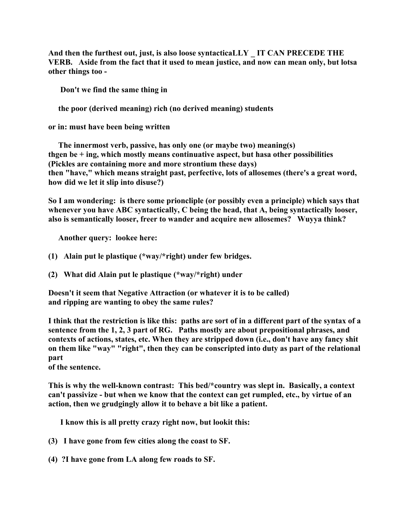**And then the furthest out, just, is also loose syntacticaLLY \_ IT CAN PRECEDE THE VERB. Aside from the fact that it used to mean justice, and now can mean only, but lotsa other things too -**

 **Don't we find the same thing in**

 **the poor (derived meaning) rich (no derived meaning) students**

**or in: must have been being written**

 **The innermost verb, passive, has only one (or maybe two) meaning(s) thgen be + ing, which mostly means continuative aspect, but hasa other possibilities (Pickles are containing more and more strontium these days) then "have," which means straight past, perfective, lots of allosemes (there's a great word, how did we let it slip into disuse?)**

**So I am wondering: is there some prioncliple (or possibly even a principle) which says that whenever you have ABC syntactically, C being the head, that A, being syntactically looser, also is semantically looser, freer to wander and acquire new allosemes? Wuyya think?**

 **Another query: lookee here:**

- **(1) Alain put le plastique (\*way/\*right) under few bridges.**
- **(2) What did Alain put le plastique (\*way/\*right) under**

**Doesn't it seem that Negative Attraction (or whatever it is to be called) and ripping are wanting to obey the same rules?**

**I think that the restriction is like this: paths are sort of in a different part of the syntax of a sentence from the 1, 2, 3 part of RG. Paths mostly are about prepositional phrases, and contexts of actions, states, etc. When they are stripped down (i.e., don't have any fancy shit on them like "way" "right", then they can be conscripted into duty as part of the relational part**

**of the sentence.**

**This is why the well-known contrast: This bed/\*country was slept in. Basically, a context can't passivize - but when we know that the context can get rumpled, etc., by virtue of an action, then we grudgingly allow it to behave a bit like a patient.**

 **I know this is all pretty crazy right now, but lookit this:**

- **(3) I have gone from few cities along the coast to SF.**
- **(4) ?I have gone from LA along few roads to SF.**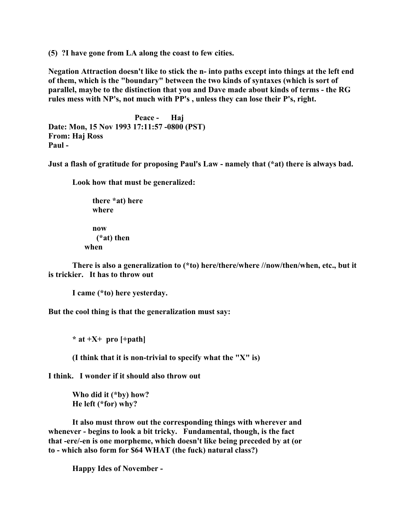**(5) ?I have gone from LA along the coast to few cities.**

**Negation Attraction doesn't like to stick the n- into paths except into things at the left end of them, which is the "boundary" between the two kinds of syntaxes (which is sort of parallel, maybe to the distinction that you and Dave made about kinds of terms - the RG rules mess with NP's, not much with PP's , unless they can lose their P's, right.**

 **Peace - Haj Date: Mon, 15 Nov 1993 17:11:57 -0800 (PST) From: Haj Ross Paul -**

**Just a flash of gratitude for proposing Paul's Law - namely that (\*at) there is always bad.**

**Look how that must be generalized:**

 **there \*at) here where now (\*at) then when**

**There is also a generalization to (\*to) here/there/where //now/then/when, etc., but it is trickier. It has to throw out**

**I came (\*to) here yesterday.**

**But the cool thing is that the generalization must say:**

**\* at +X+ pro [+path]**

**(I think that it is non-trivial to specify what the "X" is)**

**I think. I wonder if it should also throw out**

**Who did it (\*by) how? He left (\*for) why?**

**It also must throw out the corresponding things with wherever and whenever - begins to look a bit tricky. Fundamental, though, is the fact that -ere/-en is one morpheme, which doesn't like being preceded by at (or to - which also form for \$64 WHAT (the fuck) natural class?)**

**Happy Ides of November -**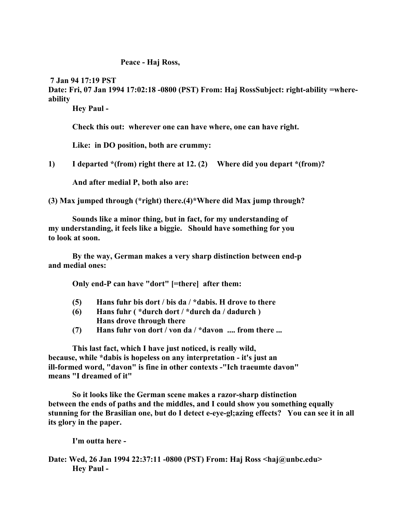### **Peace - Haj Ross,**

 **7 Jan 94 17:19 PST Date: Fri, 07 Jan 1994 17:02:18 -0800 (PST) From: Haj RossSubject: right-ability =whereability**

**Hey Paul -**

**Check this out: wherever one can have where, one can have right.**

**Like: in DO position, both are crummy:**

**1) I departed \*(from) right there at 12. (2) Where did you depart \*(from)?**

**And after medial P, both also are:**

**(3) Max jumped through (\*right) there.(4)\*Where did Max jump through?**

**Sounds like a minor thing, but in fact, for my understanding of my understanding, it feels like a biggie. Should have something for you to look at soon.**

**By the way, German makes a very sharp distinction between end-p and medial ones:**

**Only end-P can have "dort" [=there] after them:**

- **(5) Hans fuhr bis dort / bis da / \*dabis. H drove to there**
- **(6) Hans fuhr ( \*durch dort / \*durch da / dadurch ) Hans drove through there**
- **(7) Hans fuhr von dort / von da / \*davon .... from there ...**

**This last fact, which I have just noticed, is really wild, because, while \*dabis is hopeless on any interpretation - it's just an ill-formed word, "davon" is fine in other contexts -"Ich traeumte davon" means "I dreamed of it"**

**So it looks like the German scene makes a razor-sharp distinction between the ends of paths and the middles, and I could show you something equally stunning for the Brasilian one, but do I detect e-eye-gl;azing effects? You can see it in all its glory in the paper.**

**I'm outta here -**

**Date: Wed, 26 Jan 1994 22:37:11 -0800 (PST) From: Haj Ross <haj@unbc.edu> Hey Paul -**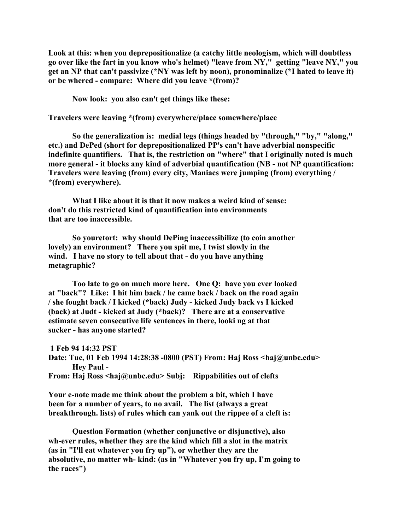**Look at this: when you deprepositionalize (a catchy little neologism, which will doubtless go over like the fart in you know who's helmet) "leave from NY," getting "leave NY," you get an NP that can't passivize (\*NY was left by noon), pronominalize (\*I hated to leave it) or be whered - compare: Where did you leave \*(from)?**

**Now look: you also can't get things like these:**

**Travelers were leaving \*(from) everywhere/place somewhere/place**

**So the generalization is: medial legs (things headed by "through," "by," "along," etc.) and DePed (short for deprepositionalized PP's can't have adverbial nonspecific indefinite quantifiers. That is, the restriction on "where" that I originally noted is much more general - it blocks any kind of adverbial quantification (NB - not NP quantification: Travelers were leaving (from) every city, Maniacs were jumping (from) everything / \*(from) everywhere).**

**What I like about it is that it now makes a weird kind of sense: don't do this restricted kind of quantification into environments that are too inaccessible.**

**So youretort: why should DePing inaccessibilize (to coin another lovely) an environment? There you spit me, I twist slowly in the wind. I have no story to tell about that - do you have anything metagraphic?**

**Too late to go on much more here. One Q: have you ever looked at "back"? Like: I hit him back / he came back / back on the road again / she fought back / I kicked (\*back) Judy - kicked Judy back vs I kicked (back) at Judt - kicked at Judy (\*back)? There are at a conservative estimate seven consecutive life sentences in there, looki ng at that sucker - has anyone started?**

 **1 Feb 94 14:32 PST Date: Tue, 01 Feb 1994 14:28:38 -0800 (PST) From: Haj Ross <haj@unbc.edu> Hey Paul - From: Haj Ross <haj@unbc.edu> Subj: Rippabilities out of clefts**

**Your e-note made me think about the problem a bit, which I have been for a number of years, to no avail. The list (always a great breakthrough. lists) of rules which can yank out the rippee of a cleft is:**

**Question Formation (whether conjunctive or disjunctive), also wh-ever rules, whether they are the kind which fill a slot in the matrix (as in "I'll eat whatever you fry up"), or whether they are the absolutive, no matter wh- kind: (as in "Whatever you fry up, I'm going to the races")**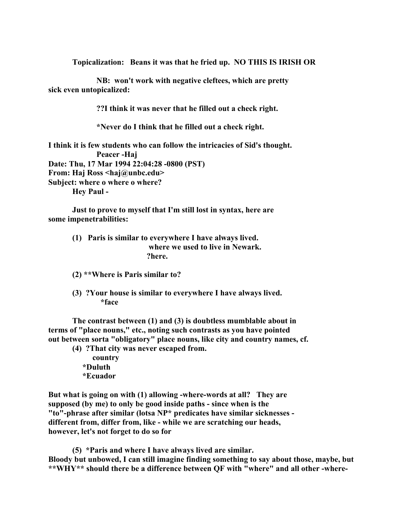**Topicalization: Beans it was that he fried up. NO THIS IS IRISH OR**

**NB: won't work with negative cleftees, which are pretty sick even untopicalized:**

**??I think it was never that he filled out a check right.**

**\*Never do I think that he filled out a check right.**

**I think it is few students who can follow the intricacies of Sid's thought. Peacer -Haj Date: Thu, 17 Mar 1994 22:04:28 -0800 (PST) From: Haj Ross <haj@unbc.edu> Subject: where o where o where? Hey Paul -**

**Just to prove to myself that I'm still lost in syntax, here are some impenetrabilities:**

- **(1) Paris is similar to everywhere I have always lived. where we used to live in Newark. ?here.**
- **(2) \*\*Where is Paris similar to?**
- **(3) ?Your house is similar to everywhere I have always lived. \*face**

**The contrast between (1) and (3) is doubtless mumblable about in terms of "place nouns," etc., noting such contrasts as you have pointed out between sorta "obligatory" place nouns, like city and country names, cf.**

**(4) ?That city was never escaped from.**

 **country \*Duluth \*Ecuador**

**But what is going on with (1) allowing -where-words at all? They are supposed (by me) to only be good inside paths - since when is the "to"-phrase after similar (lotsa NP\* predicates have similar sicknesses different from, differ from, like - while we are scratching our heads, however, let's not forget to do so for**

**(5) \*Paris and where I have always lived are similar. Bloody but unbowed, I can still imagine finding something to say about those, maybe, but \*\*WHY\*\* should there be a difference between QF with "where" and all other -where-**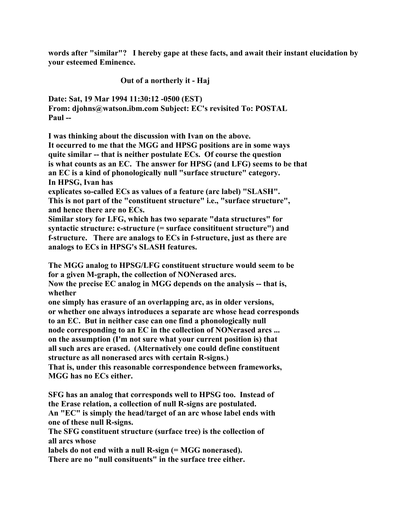**words after "similar"? I hereby gape at these facts, and await their instant elucidation by your esteemed Eminence.**

**Out of a northerly it - Haj**

**Date: Sat, 19 Mar 1994 11:30:12 -0500 (EST) From: djohns@watson.ibm.com Subject: EC's revisited To: POSTAL Paul --**

**I was thinking about the discussion with Ivan on the above. It occurred to me that the MGG and HPSG positions are in some ways quite similar -- that is neither postulate ECs. Of course the question is what counts as an EC. The answer for HPSG (and LFG) seems to be that an EC is a kind of phonologically null "surface structure" category. In HPSG, Ivan has**

**explicates so-called ECs as values of a feature (arc label) "SLASH". This is not part of the "constituent structure" i.e., "surface structure", and hence there are no ECs.**

**Similar story for LFG, which has two separate "data structures" for syntactic structure: c-structure (= surface consitituent structure") and f-structure. There are analogs to ECs in f-structure, just as there are analogs to ECs in HPSG's SLASH features.**

**The MGG analog to HPSG/LFG constituent structure would seem to be for a given M-graph, the collection of NONerased arcs.**

**Now the precise EC analog in MGG depends on the analysis -- that is, whether**

**one simply has erasure of an overlapping arc, as in older versions, or whether one always introduces a separate arc whose head corresponds to an EC. But in neither case can one find a phonologically null node corresponding to an EC in the collection of NONerased arcs ... on the assumption (I'm not sure what your current position is) that all such arcs are erased. (Alternatively one could define constituent structure as all nonerased arcs with certain R-signs.) That is, under this reasonable correspondence between frameworks, MGG has no ECs either.**

**SFG has an analog that corresponds well to HPSG too. Instead of the Erase relation, a collection of null R-signs are postulated. An "EC" is simply the head/target of an arc whose label ends with one of these null R-signs.**

**The SFG constituent structure (surface tree) is the collection of all arcs whose**

**labels do not end with a null R-sign (= MGG nonerased).**

**There are no "null consituents" in the surface tree either.**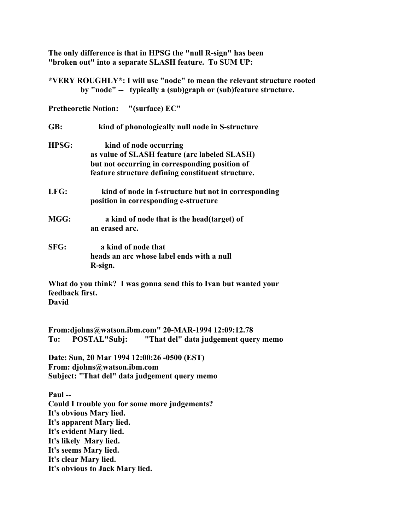**The only difference is that in HPSG the "null R-sign" has been "broken out" into a separate SLASH feature. To SUM UP:**

**\*VERY ROUGHLY\*: I will use "node" to mean the relevant structure rooted by "node" -- typically a (sub)graph or (sub)feature structure.**

**Pretheoretic Notion: "(surface) EC"**

**GB: kind of phonologically null node in S-structure**

- **HPSG: kind of node occurring as value of SLASH feature (arc labeled SLASH) but not occurring in corresponding position of feature structure defining constituent structure.**
- **LFG: kind of node in f-structure but not in corresponding position in corresponding c-structure**
- **MGG: a kind of node that is the head(target) of an erased arc.**
- **SFG: a kind of node that heads an arc whose label ends with a null R-sign.**

**What do you think? I was gonna send this to Ivan but wanted your feedback first. David**

**From:djohns@watson.ibm.com" 20-MAR-1994 12:09:12.78 To: POSTAL"Subj: "That del" data judgement query memo**

**Date: Sun, 20 Mar 1994 12:00:26 -0500 (EST) From: djohns@watson.ibm.com Subject: "That del" data judgement query memo**

**Paul -- Could I trouble you for some more judgements? It's obvious Mary lied. It's apparent Mary lied. It's evident Mary lied. It's likely Mary lied. It's seems Mary lied. It's clear Mary lied. It's obvious to Jack Mary lied.**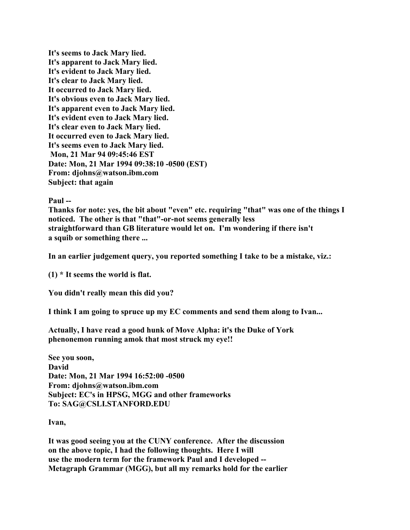**It's seems to Jack Mary lied. It's apparent to Jack Mary lied. It's evident to Jack Mary lied. It's clear to Jack Mary lied. It occurred to Jack Mary lied. It's obvious even to Jack Mary lied. It's apparent even to Jack Mary lied. It's evident even to Jack Mary lied. It's clear even to Jack Mary lied. It occurred even to Jack Mary lied. It's seems even to Jack Mary lied. Mon, 21 Mar 94 09:45:46 EST Date: Mon, 21 Mar 1994 09:38:10 -0500 (EST) From: djohns@watson.ibm.com Subject: that again**

## **Paul --**

**Thanks for note: yes, the bit about "even" etc. requiring "that" was one of the things I noticed. The other is that "that"-or-not seems generally less straightforward than GB literature would let on. I'm wondering if there isn't a squib or something there ...**

**In an earlier judgement query, you reported something I take to be a mistake, viz.:**

**(1) \* It seems the world is flat.**

**You didn't really mean this did you?**

**I think I am going to spruce up my EC comments and send them along to Ivan...**

**Actually, I have read a good hunk of Move Alpha: it's the Duke of York phenonemon running amok that most struck my eye!!**

**See you soon, David Date: Mon, 21 Mar 1994 16:52:00 -0500 From: djohns@watson.ibm.com Subject: EC's in HPSG, MGG and other frameworks To: SAG@CSLI.STANFORD.EDU**

**Ivan,**

**It was good seeing you at the CUNY conference. After the discussion on the above topic, I had the following thoughts. Here I will use the modern term for the framework Paul and I developed -- Metagraph Grammar (MGG), but all my remarks hold for the earlier**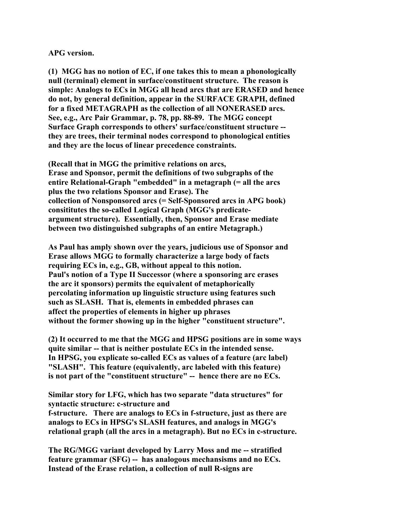### **APG version.**

**(1) MGG has no notion of EC, if one takes this to mean a phonologically null (terminal) element in surface/constituent structure. The reason is simple: Analogs to ECs in MGG all head arcs that are ERASED and hence do not, by general definition, appear in the SURFACE GRAPH, defined for a fixed METAGRAPH as the collection of all NONERASED arcs. See, e.g., Arc Pair Grammar, p. 78, pp. 88-89. The MGG concept Surface Graph corresponds to others' surface/constituent structure - they are trees, their terminal nodes correspond to phonological entities and they are the locus of linear precedence constraints.**

**(Recall that in MGG the primitive relations on arcs, Erase and Sponsor, permit the definitions of two subgraphs of the entire Relational-Graph "embedded" in a metagraph (= all the arcs plus the two relations Sponsor and Erase). The collection of Nonsponsored arcs (= Self-Sponsored arcs in APG book) consititutes the so-called Logical Graph (MGG's predicateargument structure). Essentially, then, Sponsor and Erase mediate between two distinguished subgraphs of an entire Metagraph.)**

**As Paul has amply shown over the years, judicious use of Sponsor and Erase allows MGG to formally characterize a large body of facts requiring ECs in, e.g., GB, without appeal to this notion. Paul's notion of a Type II Successor (where a sponsoring arc erases the arc it sponsors) permits the equivalent of metaphorically percolating information up linguistic structure using features such such as SLASH. That is, elements in embedded phrases can affect the properties of elements in higher up phrases without the former showing up in the higher "constituent structure".**

**(2) It occurred to me that the MGG and HPSG positions are in some ways quite similar -- that is neither postulate ECs in the intended sense. In HPSG, you explicate so-called ECs as values of a feature (arc label) "SLASH". This feature (equivalently, arc labeled with this feature) is not part of the "constituent structure" -- hence there are no ECs.**

**Similar story for LFG, which has two separate "data structures" for syntactic structure: c-structure and f-structure. There are analogs to ECs in f-structure, just as there are analogs to ECs in HPSG's SLASH features, and analogs in MGG's relational graph (all the arcs in a metagraph). But no ECs in c-structure.**

**The RG/MGG variant developed by Larry Moss and me -- stratified feature grammar (SFG) -- has analogous mechansisms and no ECs. Instead of the Erase relation, a collection of null R-signs are**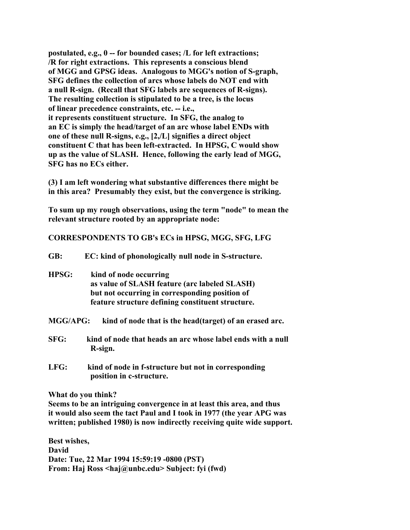**postulated, e.g., 0 -- for bounded cases; /L for left extractions; /R for right extractions. This represents a conscious blend of MGG and GPSG ideas. Analogous to MGG's notion of S-graph, SFG defines the collection of arcs whose labels do NOT end with a null R-sign. (Recall that SFG labels are sequences of R-signs). The resulting collection is stipulated to be a tree, is the locus of linear precedence constraints, etc. -- i.e., it represents constituent structure. In SFG, the analog to an EC is simply the head/target of an arc whose label ENDs with one of these null R-signs, e.g., [2,/L] signifies a direct object constituent C that has been left-extracted. In HPSG, C would show up as the value of SLASH. Hence, following the early lead of MGG, SFG has no ECs either.**

**(3) I am left wondering what substantive differences there might be in this area? Presumably they exist, but the convergence is striking.**

**To sum up my rough observations, using the term "node" to mean the relevant structure rooted by an appropriate node:**

**CORRESPONDENTS TO GB's ECs in HPSG, MGG, SFG, LFG**

| GB:             | EC: kind of phonologically null node in S-structure.                             |
|-----------------|----------------------------------------------------------------------------------|
| <b>HPSG:</b>    | kind of node occurring                                                           |
|                 | as value of SLASH feature (arc labeled SLASH)                                    |
|                 | but not occurring in corresponding position of                                   |
|                 | feature structure defining constituent structure.                                |
| <b>MGG/APG:</b> | kind of node that is the head (target) of an erased arc.                         |
| SFG:            | kind of node that heads an arc whose label ends with a null<br>R-sign.           |
| LFG:            | kind of node in f-structure but not in corresponding<br>position in c-structure. |
|                 | What do you think?                                                               |

**Seems to be an intriguing convergence in at least this area, and thus it would also seem the tact Paul and I took in 1977 (the year APG was written; published 1980) is now indirectly receiving quite wide support.**

**Best wishes, David Date: Tue, 22 Mar 1994 15:59:19 -0800 (PST) From: Haj Ross <haj@unbc.edu> Subject: fyi (fwd)**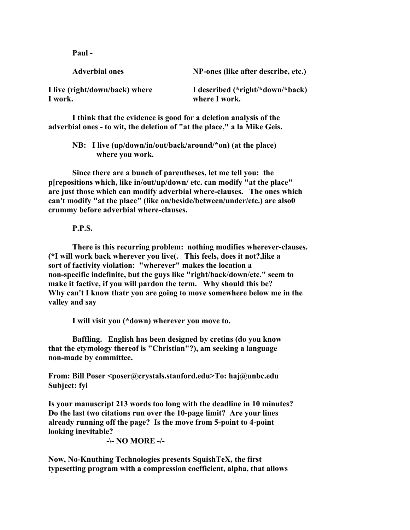**Paul -**

| <b>Adverbial ones</b>          | NP-ones (like after describe, etc.) |
|--------------------------------|-------------------------------------|
| I live (right/down/back) where | I described (*right/*down/*back)    |
| I work.                        | where I work.                       |

**I think that the evidence is good for a deletion analysis of the adverbial ones - to wit, the deletion of "at the place," a la Mike Geis.**

> **NB: I live (up/down/in/out/back/around/\*on) (at the place) where you work.**

**Since there are a bunch of parentheses, let me tell you: the p[repositions which, like in/out/up/down/ etc. can modify "at the place" are just those which can modify adverbial where-clauses. The ones which can't modify "at the place" (like on/beside/between/under/etc.) are also0 crummy before adverbial where-clauses.**

#### **P.P.S.**

**There is this recurring problem: nothing modifies wherever-clauses. (\*I will work back wherever you live(. This feels, does it not?,like a sort of factivity violation: "wherever" makes the location a non-specific indefinite, but the guys like "right/back/down/etc." seem to make it factive, if you will pardon the term. Why should this be? Why can't I know thatr you are going to move somewhere below me in the valley and say**

**I will visit you (\*down) wherever you move to.**

**Baffling. English has been designed by cretins (do you know that the etymology thereof is "Christian"?), am seeking a language non-made by committee.**

**From: Bill Poser <poser@crystals.stanford.edu>To: haj@unbc.edu Subject: fyi**

**Is your manuscript 213 words too long with the deadline in 10 minutes? Do the last two citations run over the 10-page limit? Are your lines already running off the page? Is the move from 5-point to 4-point looking inevitable?**

 **-\- NO MORE -/-**

**Now, No-Knuthing Technologies presents SquishTeX, the first typesetting program with a compression coefficient, alpha, that allows**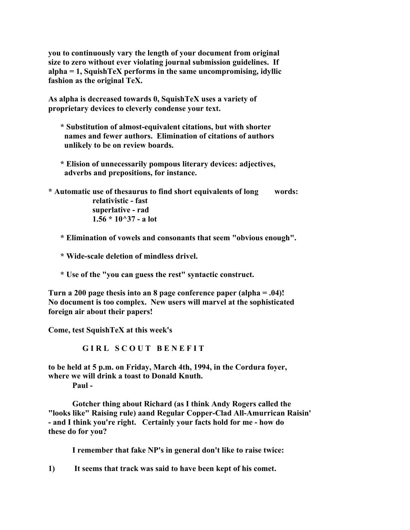**you to continuously vary the length of your document from original size to zero without ever violating journal submission guidelines. If alpha = 1, SquishTeX performs in the same uncompromising, idyllic fashion as the original TeX.**

**As alpha is decreased towards 0, SquishTeX uses a variety of proprietary devices to cleverly condense your text.**

- **\* Substitution of almost-equivalent citations, but with shorter names and fewer authors. Elimination of citations of authors unlikely to be on review boards.**
- **\* Elision of unnecessarily pompous literary devices: adjectives, adverbs and prepositions, for instance.**

**\* Automatic use of thesaurus to find short equivalents of long words: relativistic - fast superlative - rad 1.56 \* 10^37 - a lot**

- **\* Elimination of vowels and consonants that seem "obvious enough".**
- **\* Wide-scale deletion of mindless drivel.**
- **\* Use of the "you can guess the rest" syntactic construct.**

**Turn a 200 page thesis into an 8 page conference paper (alpha = .04)! No document is too complex. New users will marvel at the sophisticated foreign air about their papers!**

**Come, test SquishTeX at this week's**

**GIRL SCOUT BENEFIT** 

**to be held at 5 p.m. on Friday, March 4th, 1994, in the Cordura foyer, where we will drink a toast to Donald Knuth.**

**Paul -**

**Gotcher thing about Richard (as I think Andy Rogers called the "looks like" Raising rule) aand Regular Copper-Clad All-Amurrican Raisin' - and I think you're right. Certainly your facts hold for me - how do these do for you?**

**I remember that fake NP's in general don't like to raise twice:**

**1) It seems that track was said to have been kept of his comet.**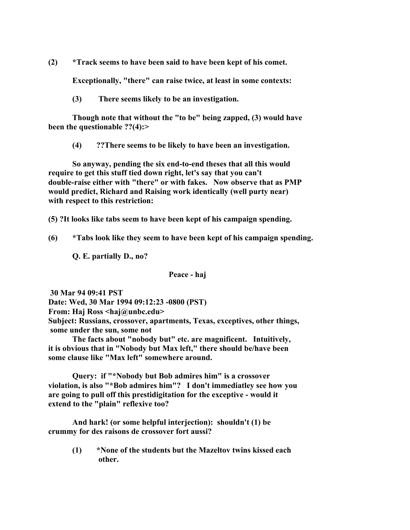**(2) \*Track seems to have been said to have been kept of his comet.**

**Exceptionally, "there" can raise twice, at least in some contexts:**

**(3) There seems likely to be an investigation.**

**Though note that without the "to be" being zapped, (3) would have been the questionable ??(4):>**

**(4) ??There seems to be likely to have been an investigation.**

**So anyway, pending the six end-to-end theses that all this would require to get this stuff tied down right, let's say that you can't double-raise either with "there" or with fakes. Now observe that as PMP would predict, Richard and Raising work identically (well purty near) with respect to this restriction:**

**(5) ?It looks like tabs seem to have been kept of his campaign spending.**

**(6) \*Tabs look like they seem to have been kept of his campaign spending.**

**Q. E. partially D., no?**

**Peace - haj**

 **30 Mar 94 09:41 PST Date: Wed, 30 Mar 1994 09:12:23 -0800 (PST) From: Haj Ross <haj@unbc.edu> Subject: Russians, crossover, apartments, Texas, exceptives, other things, some under the sun, some not**

**The facts about "nobody but" etc. are magnificent. Intuitively, it is obvious that in "Nobody but Max left," there should be/have been some clause like "Max left" somewhere around.**

**Query: if "\*Nobody but Bob admires him" is a crossover violation, is also "\*Bob admires him"? I don't immediatley see how you are going to pull off this prestidigitation for the exceptive - would it extend to the "plain" reflexive too?**

**And hark! (or some helpful interjection): shouldn't (1) be crummy for des raisons de crossover fort aussi?**

> **(1) \*None of the students but the Mazeltov twins kissed each other.**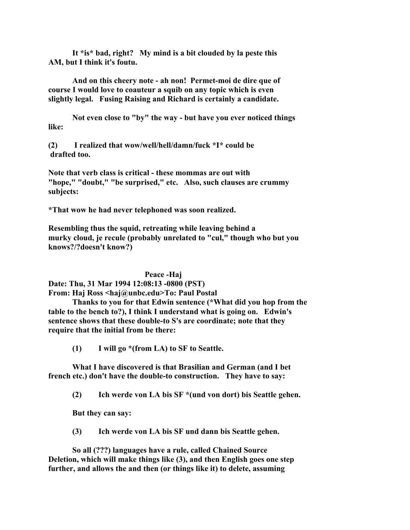**It \*is\* bad, right? My mind is a bit clouded by la peste this AM, but I think it's foutu.**

**And on this cheery note - ah non! Permet-moi de dire que of course I would love to coauteur a squib on any topic which is even slightly legal. Fusing Raising and Richard is certainly a candidate.**

**Not even close to "by" the way - but have you ever noticed things like:**

**(2) I realized that wow/well/hell/damn/fuck \*I\* could be drafted too.**

**Note that verb class is critical - these mommas are out with "hope," "doubt," "be surprised," etc. Also, such clauses are crummy subjects:**

**\*That wow he had never telephoned was soon realized.**

**Resembling thus the squid, retreating while leaving behind a murky cloud, je recule (probably unrelated to "cul," though who but you knows?/?doesn't know?)**

**Peace -Haj**

**Date: Thu, 31 Mar 1994 12:08:13 -0800 (PST) From: Haj Ross <haj@unbc.edu>To: Paul Postal** 

**Thanks to you for that Edwin sentence (\*What did you hop from the table to the bench to?), I think I understand what is going on. Edwin's sentence shows that these double-to S's are coordinate; note that they require that the initial from be there:**

**(1) I will go \*(from LA) to SF to Seattle.**

**What I have discovered is that Brasilian and German (and I bet french etc.) don't have the double-to construction. They have to say:**

**(2) Ich werde von LA bis SF \*(und von dort) bis Seattle gehen.**

**But they can say:**

**(3) Ich werde von LA bis SF und dann bis Seattle gehen.**

**So all (???) languages have a rule, called Chained Source Deletion, which will make things like (3), and then English goes one step further, and allows the and then (or things like it) to delete, assuming**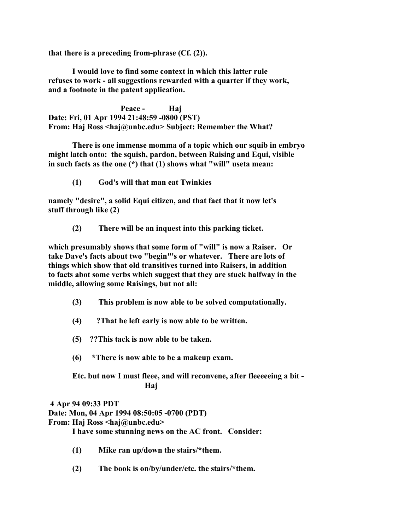**that there is a preceding from-phrase (Cf. (2)).**

**I would love to find some context in which this latter rule refuses to work - all suggestions rewarded with a quarter if they work, and a footnote in the patent application.**

**Peace - Haj Date: Fri, 01 Apr 1994 21:48:59 -0800 (PST) From: Haj Ross <haj@unbc.edu> Subject: Remember the What?**

**There is one immense momma of a topic which our squib in embryo might latch onto: the squish, pardon, between Raising and Equi, visible in such facts as the one (\*) that (1) shows what "will" useta mean:**

**(1) God's will that man eat Twinkies**

**namely "desire", a solid Equi citizen, and that fact that it now let's stuff through like (2)**

**(2) There will be an inquest into this parking ticket.**

**which presumably shows that some form of "will" is now a Raiser. Or take Dave's facts about two "begin"'s or whatever. There are lots of things which show that old transitives turned into Raisers, in addition to facts abot some verbs which suggest that they are stuck halfway in the middle, allowing some Raisings, but not all:**

- **(3) This problem is now able to be solved computationally.**
- **(4) ?That he left early is now able to be written.**
- **(5) ??This tack is now able to be taken.**
- **(6) \*There is now able to be a makeup exam.**

**Etc. but now I must fleee, and will reconvene, after fleeeeeing a bit - Haj**

 **4 Apr 94 09:33 PDT Date: Mon, 04 Apr 1994 08:50:05 -0700 (PDT) From: Haj Ross <haj@unbc.edu> I have some stunning news on the AC front. Consider:**

- **(1) Mike ran up/down the stairs/\*them.**
- **(2) The book is on/by/under/etc. the stairs/\*them.**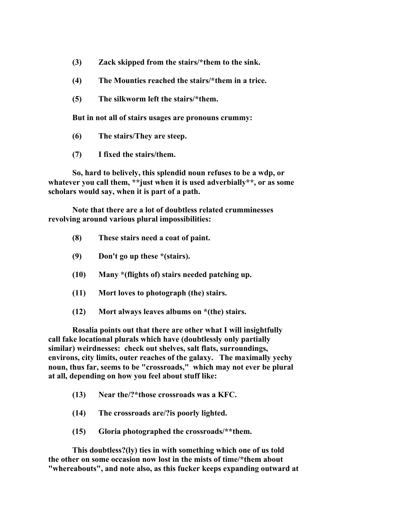- **(3) Zack skipped from the stairs/\*them to the sink.**
- **(4) The Mounties reached the stairs/\*them in a trice.**
- **(5) The silkworm left the stairs/\*them.**

**But in not all of stairs usages are pronouns crummy:**

- **(6) The stairs/They are steep.**
- **(7) I fixed the stairs/them.**

**So, hard to belively, this splendid noun refuses to be a wdp, or whatever you call them, \*\*just when it is used adverbially\*\*, or as some scholars would say, when it is part of a path.**

**Note that there are a lot of doubtless related crumminesses revolving around various plural impossibilities:**

- **(8) These stairs need a coat of paint.**
- **(9) Don't go up these \*(stairs).**
- **(10) Many \*(flights of) stairs needed patching up.**
- **(11) Mort loves to photograph (the) stairs.**
- **(12) Mort always leaves albums on \*(the) stairs.**

**Rosalia points out that there are other what I will insightfully call fake locational plurals which have (doubtlessly only partially similar) weirdnesses: check out shelves, salt flats, surroundings, environs, city limits, outer reaches of the galaxy. The maximally yechy noun, thus far, seems to be "crossroads," which may not ever be plural at all, depending on how you feel about stuff like:**

- **(13) Near the/?\*those crossroads was a KFC.**
- **(14) The crossroads are/?is poorly lighted.**
- **(15) Gloria photographed the crossroads/\*\*them.**

**This doubtless?(ly) ties in with something which one of us told the other on some occasion now lost in the mists of time/\*them about "whereabouts", and note also, as this fucker keeps expanding outward at**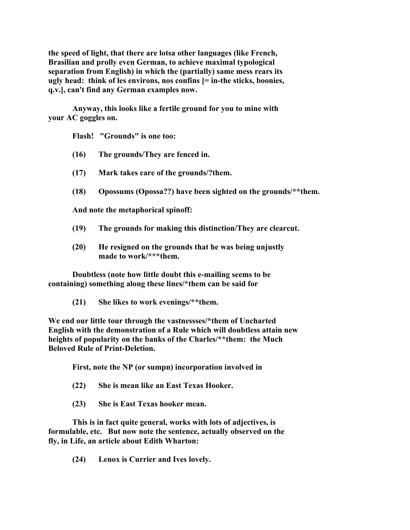**the speed of light, that there are lotsa other languages (like French, Brasilian and prolly even German, to achieve maximal typological separation from English) in which the (partially) same mess rears its ugly head: think of les environs, nos confins [= in-the sticks, boonies, q.v.], can't find any German examples now.**

**Anyway, this looks like a fertile ground for you to mine with your AC goggles on.**

**Flash! "Grounds" is one too:**

- **(16) The grounds/They are fenced in.**
- **(17) Mark takes care of the grounds/?them.**
- **(18) Opossums (Opossa??) have been sighted on the grounds/\*\*them.**

**And note the metaphorical spinoff:**

- **(19) The grounds for making this distinction/They are clearcut.**
- **(20) He resigned on the grounds that he was being unjustly made to work/\*\*\*them.**

**Doubtless (note how little doubt this e-mailing seems to be containing) something along these lines/\*them can be said for**

**(21) She likes to work evenings/\*\*them.**

**We end our little tour through the vastnessses/\*them of Uncharted English with the demonstration of a Rule which will doubtless attain new heights of popularity on the banks of the Charles/\*\*them: the Much Beloved Rule of Print-Deletion.**

**First, note the NP (or sumpn) incorporation involved in**

- **(22) She is mean like an East Texas Hooker.**
- **(23) She is East Texas hooker mean.**

**This is in fact quite general, works with lots of adjectives, is formulable, etc. But now note the sentence, actually observed on the fly, in Life, an article about Edith Wharton:**

**(24) Lenox is Currier and Ives lovely.**